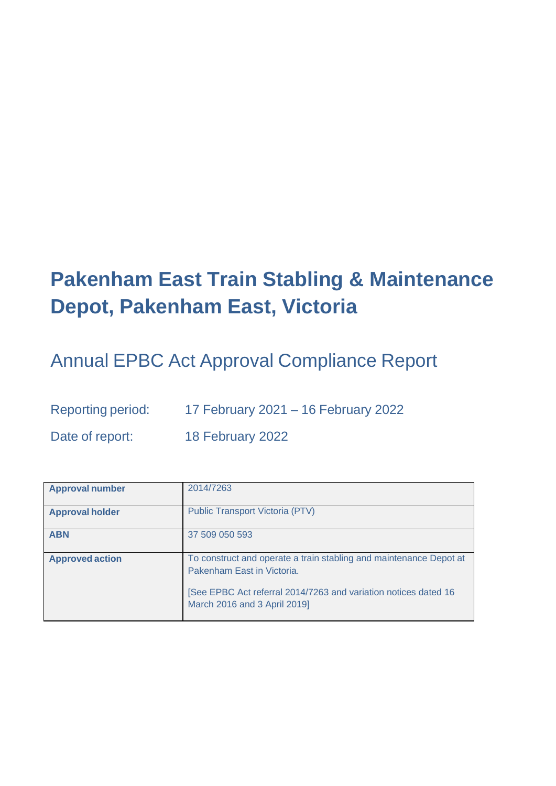# **Pakenham East Train Stabling & Maintenance Depot, Pakenham East, Victoria**

Annual EPBC Act Approval Compliance Report

Reporting period: 17 February 2021 – 16 February 2022

Date of report: 18 February 2022

| <b>Approval number</b> | 2014/7263                                                                                        |
|------------------------|--------------------------------------------------------------------------------------------------|
| <b>Approval holder</b> | <b>Public Transport Victoria (PTV)</b>                                                           |
| <b>ABN</b>             | 37 509 050 593                                                                                   |
| <b>Approved action</b> | To construct and operate a train stabling and maintenance Depot at<br>Pakenham East in Victoria. |
|                        | [See EPBC Act referral 2014/7263 and variation notices dated 16<br>March 2016 and 3 April 2019]  |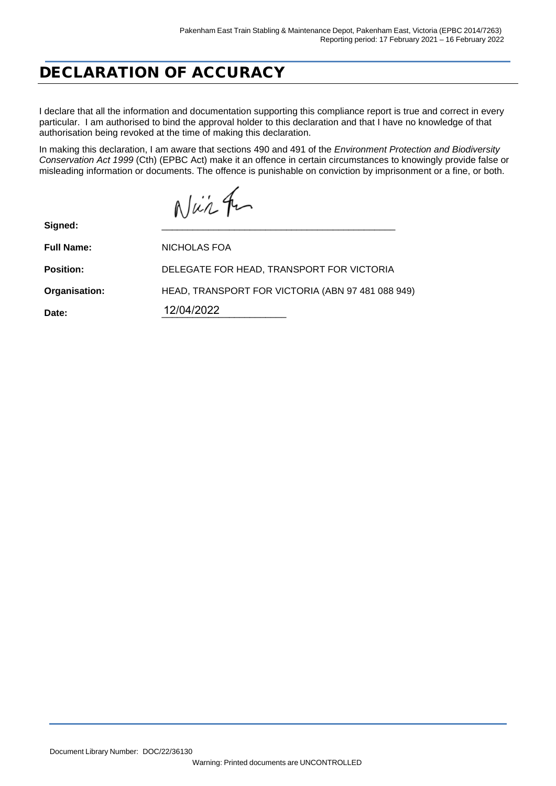### DECLARATION OF ACCURACY

I declare that all the information and documentation supporting this compliance report is true and correct in every particular. I am authorised to bind the approval holder to this declaration and that I have no knowledge of that authorisation being revoked at the time of making this declaration.

In making this declaration, I am aware that sections 490 and 491 of the *Environment Protection and Biodiversity Conservation Act 1999* (Cth) (EPBC Act) make it an offence in certain circumstances to knowingly provide false or misleading information or documents. The offence is punishable on conviction by imprisonment or a fine, or both.

Nuir Fr

**Signed:** \_\_\_\_\_\_\_\_\_\_\_\_\_\_\_\_\_\_\_\_\_\_\_\_\_\_\_\_\_\_\_\_\_\_\_\_\_\_\_\_\_\_\_\_\_ Full Name: NICHOLAS FOA **Position:** DELEGATE FOR HEAD, TRANSPORT FOR VICTORIA **Organisation:** HEAD, TRANSPORT FOR VICTORIA (ABN 97 481 088 949) **Date:** \_\_\_\_\_\_\_\_\_\_\_\_\_\_\_\_\_\_\_\_\_\_\_\_ 12/04/2022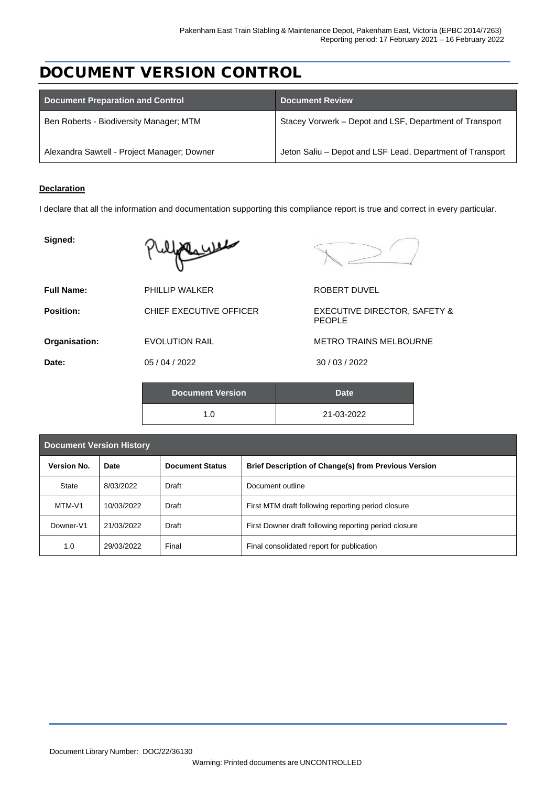### DOCUMENT VERSION CONTROL

| <b>Document Preparation and Control</b>     | <b>Document Review</b>                                    |
|---------------------------------------------|-----------------------------------------------------------|
| Ben Roberts - Biodiversity Manager; MTM     | Stacey Vorwerk - Depot and LSF, Department of Transport   |
| Alexandra Sawtell - Project Manager; Downer | Jeton Saliu - Depot and LSF Lead, Department of Transport |

#### **Declaration**

I declare that all the information and documentation supporting this compliance report is true and correct in every particular.

**Signed:**

Webster

| <b>Full Name:</b> | PHILLIP WALKER                |
|-------------------|-------------------------------|
| Position:         | <b>CHIEF EXECUTIVE OFFICE</b> |
| Organisation:     | <b>EVOLUTION RAIL</b>         |
| Date:             | 05/04/2022                    |
|                   |                               |

**ROBERT DUVEL POSITION:** CHIEF EXECUTIVE DIRECTOR, SAFETY & PEOPLE **METRO TRAINS MELBOURNE Date:** 05 / 04 / 2022 30 / 03 / 2022

| <b>Document Version</b> | <b>Date</b> |
|-------------------------|-------------|
| 1. $\Omega$             | 21-03-2022  |

| <b>Document Version History</b> |            |                        |                                                             |  |  |  |  |
|---------------------------------|------------|------------------------|-------------------------------------------------------------|--|--|--|--|
| <b>Version No.</b>              | Date       | <b>Document Status</b> | <b>Brief Description of Change(s) from Previous Version</b> |  |  |  |  |
| State                           | 8/03/2022  | Draft                  | Document outline                                            |  |  |  |  |
| MTM-V1                          | 10/03/2022 | Draft                  | First MTM draft following reporting period closure          |  |  |  |  |
| Downer-V1                       | 21/03/2022 | Draft                  | First Downer draft following reporting period closure       |  |  |  |  |
| 1.0                             | 29/03/2022 | Final                  | Final consolidated report for publication                   |  |  |  |  |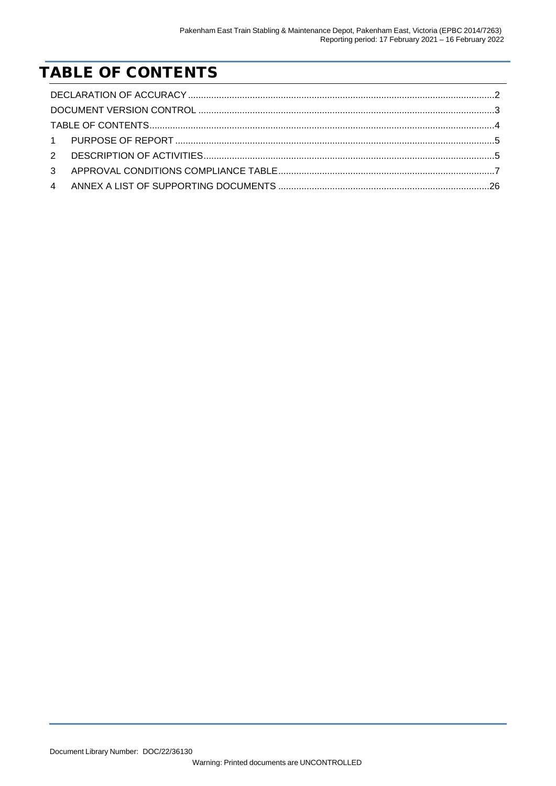## <span id="page-3-0"></span>TABLE OF CONTENTS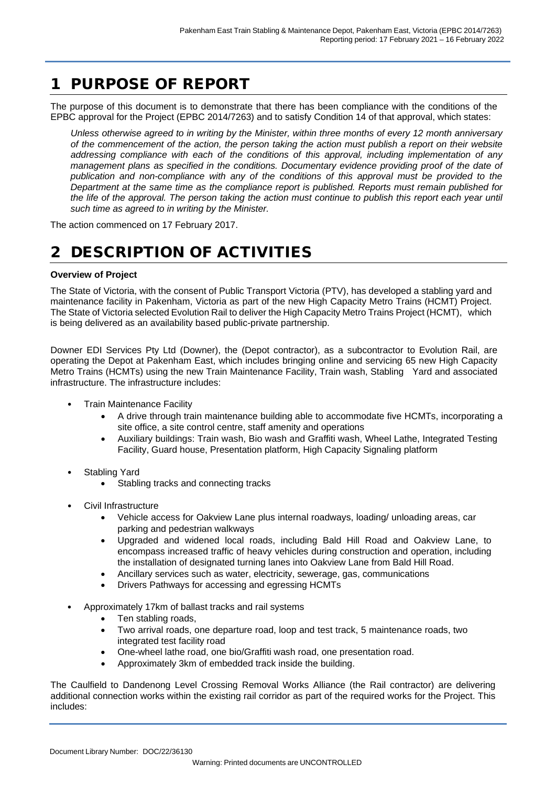### <span id="page-4-0"></span>1 PURPOSE OF REPORT

The purpose of this document is to demonstrate that there has been compliance with the conditions of the EPBC approval for the Project (EPBC 2014/7263) and to satisfy Condition 14 of that approval, which states:

*Unless otherwise agreed to in writing by the Minister, within three months of every 12 month anniversary of the commencement of the action, the person taking the action must publish a report on their website addressing compliance with each of the conditions of this approval, including implementation of any management plans as specified in the conditions. Documentary evidence providing proof of the date of publication and non-compliance with any of the conditions of this approval must be provided to the Department at the same time as the compliance report is published. Reports must remain published for the life of the approval. The person taking the action must continue to publish this report each year until such time as agreed to in writing by the Minister.*

The action commenced on 17 February 2017.

### <span id="page-4-1"></span>2 DESCRIPTION OF ACTIVITIES

#### **Overview of Project**

The State of Victoria, with the consent of Public Transport Victoria (PTV), has developed a stabling yard and maintenance facility in Pakenham, Victoria as part of the new High Capacity Metro Trains (HCMT) Project. The State of Victoria selected Evolution Rail to deliver the High Capacity Metro Trains Project (HCMT), which is being delivered as an availability based public-private partnership.

Downer EDI Services Pty Ltd (Downer), the (Depot contractor), as a subcontractor to Evolution Rail, are operating the Depot at Pakenham East, which includes bringing online and servicing 65 new High Capacity Metro Trains (HCMTs) using the new Train Maintenance Facility, Train wash, Stabling Yard and associated infrastructure. The infrastructure includes:

- Train Maintenance Facility
	- A drive through train maintenance building able to accommodate five HCMTs, incorporating a site office, a site control centre, staff amenity and operations
	- Auxiliary buildings: Train wash, Bio wash and Graffiti wash, Wheel Lathe, Integrated Testing Facility, Guard house, Presentation platform, High Capacity Signaling platform
- Stabling Yard
	- Stabling tracks and connecting tracks
- Civil Infrastructure
	- Vehicle access for Oakview Lane plus internal roadways, loading/ unloading areas, car parking and pedestrian walkways
	- Upgraded and widened local roads, including Bald Hill Road and Oakview Lane, to encompass increased traffic of heavy vehicles during construction and operation, including the installation of designated turning lanes into Oakview Lane from Bald Hill Road.
	- Ancillary services such as water, electricity, sewerage, gas, communications
	- Drivers Pathways for accessing and egressing HCMTs
- Approximately 17km of ballast tracks and rail systems
	- Ten stabling roads,
	- Two arrival roads, one departure road, loop and test track, 5 maintenance roads, two integrated test facility road
	- One-wheel lathe road, one bio/Graffiti wash road, one presentation road.
	- Approximately 3km of embedded track inside the building.

The Caulfield to Dandenong Level Crossing Removal Works Alliance (the Rail contractor) are delivering additional connection works within the existing rail corridor as part of the required works for the Project. This includes: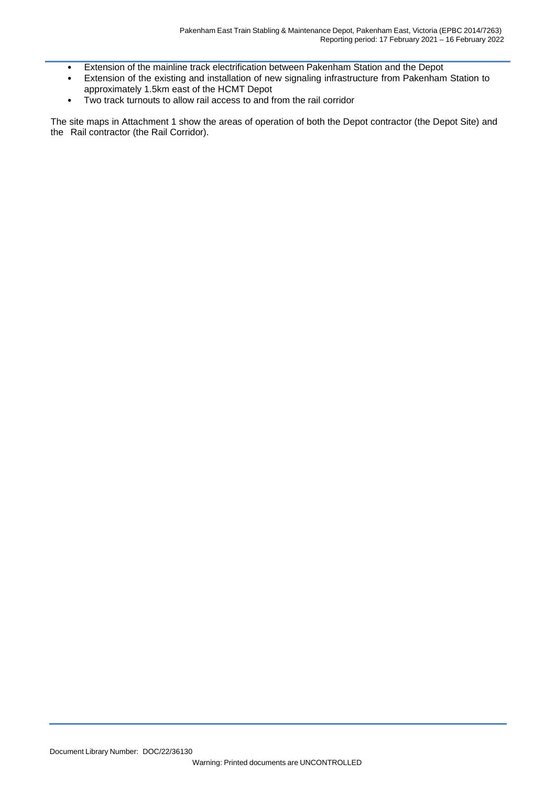- Extension of the mainline track electrification between Pakenham Station and the Depot
- Extension of the existing and installation of new signaling infrastructure from Pakenham Station to approximately 1.5km east of the HCMT Depot
- Two track turnouts to allow rail access to and from the rail corridor

The site maps in Attachment 1 show the areas of operation of both the Depot contractor (the Depot Site) and the Rail contractor (the Rail Corridor).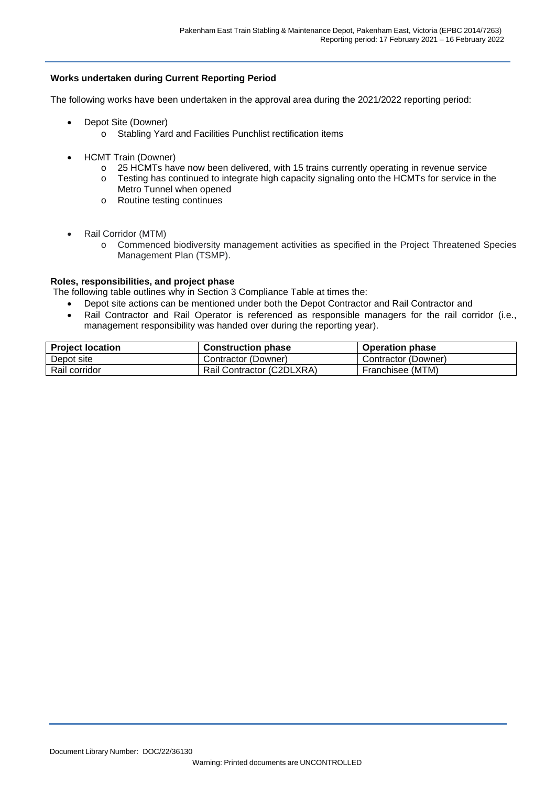#### **Works undertaken during Current Reporting Period**

The following works have been undertaken in the approval area during the 2021/2022 reporting period:

- Depot Site (Downer)
	- o Stabling Yard and Facilities Punchlist rectification items
- HCMT Train (Downer)
	- o 25 HCMTs have now been delivered, with 15 trains currently operating in revenue service
	- o Testing has continued to integrate high capacity signaling onto the HCMTs for service in the Metro Tunnel when opened
	- o Routine testing continues
- Rail Corridor (MTM)
	- o Commenced biodiversity management activities as specified in the Project Threatened Species Management Plan (TSMP).

#### **Roles, responsibilities, and project phase**

The following table outlines why in Section 3 Compliance Table at times the:

- Depot site actions can be mentioned under both the Depot Contractor and Rail Contractor and
- Rail Contractor and Rail Operator is referenced as responsible managers for the rail corridor (i.e., management responsibility was handed over during the reporting year).

| <b>Project location</b> | <b>Construction phase</b> | <b>Operation phase</b> |
|-------------------------|---------------------------|------------------------|
| Depot site              | Contractor (Downer)       | Contractor (Downer)    |
| Rail corridor           | Rail Contractor (C2DLXRA) | Franchisee (MTM)       |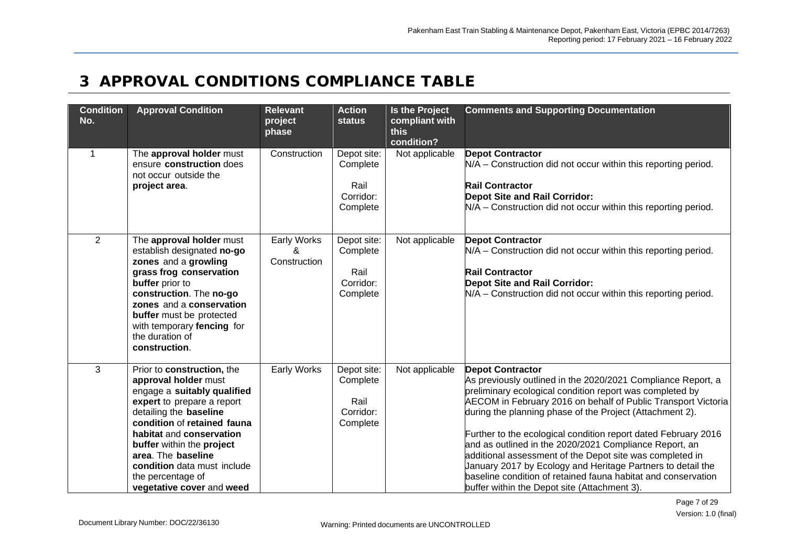#### 3 APPROVAL CONDITIONS COMPLIANCE TABLE

<span id="page-7-0"></span>

| <b>Condition</b><br>No. | <b>Approval Condition</b>                                                                                                                                                                                                                                                                                                                | <b>Relevant</b><br>project<br>phase | <b>Action</b><br><b>status</b>                           | <b>Is the Project</b><br>compliant with<br>this<br>condition? | <b>Comments and Supporting Documentation</b>                                                                                                                                                                                                                                                                                                                                                                                                                                                                                                                                                                                                             |
|-------------------------|------------------------------------------------------------------------------------------------------------------------------------------------------------------------------------------------------------------------------------------------------------------------------------------------------------------------------------------|-------------------------------------|----------------------------------------------------------|---------------------------------------------------------------|----------------------------------------------------------------------------------------------------------------------------------------------------------------------------------------------------------------------------------------------------------------------------------------------------------------------------------------------------------------------------------------------------------------------------------------------------------------------------------------------------------------------------------------------------------------------------------------------------------------------------------------------------------|
| $\mathbf 1$             | The approval holder must<br>ensure construction does<br>not occur outside the<br>project area.                                                                                                                                                                                                                                           | Construction                        | Depot site:<br>Complete<br>Rail<br>Corridor:<br>Complete | Not applicable                                                | <b>Depot Contractor</b><br>N/A – Construction did not occur within this reporting period.<br><b>Rail Contractor</b><br><b>Depot Site and Rail Corridor:</b><br>N/A - Construction did not occur within this reporting period.                                                                                                                                                                                                                                                                                                                                                                                                                            |
| $\overline{2}$          | The approval holder must<br>establish designated no-go<br>zones and a growling<br>grass frog conservation<br>buffer prior to<br>construction. The no-go<br>zones and a conservation<br>buffer must be protected<br>with temporary fencing for<br>the duration of<br>construction.                                                        | Early Works<br>&<br>Construction    | Depot site:<br>Complete<br>Rail<br>Corridor:<br>Complete | Not applicable                                                | <b>Depot Contractor</b><br>$N/A$ – Construction did not occur within this reporting period.<br><b>Rail Contractor</b><br><b>Depot Site and Rail Corridor:</b><br>$N/A$ – Construction did not occur within this reporting period.                                                                                                                                                                                                                                                                                                                                                                                                                        |
| 3                       | Prior to construction, the<br>approval holder must<br>engage a suitably qualified<br>expert to prepare a report<br>detailing the baseline<br>condition of retained fauna<br>habitat and conservation<br>buffer within the project<br>area. The baseline<br>condition data must include<br>the percentage of<br>vegetative cover and weed | Early Works                         | Depot site:<br>Complete<br>Rail<br>Corridor:<br>Complete | Not applicable                                                | <b>Depot Contractor</b><br>As previously outlined in the 2020/2021 Compliance Report, a<br>preliminary ecological condition report was completed by<br>AECOM in February 2016 on behalf of Public Transport Victoria<br>during the planning phase of the Project (Attachment 2).<br>Further to the ecological condition report dated February 2016<br>and as outlined in the 2020/2021 Compliance Report, an<br>additional assessment of the Depot site was completed in<br>January 2017 by Ecology and Heritage Partners to detail the<br>baseline condition of retained fauna habitat and conservation<br>buffer within the Depot site (Attachment 3). |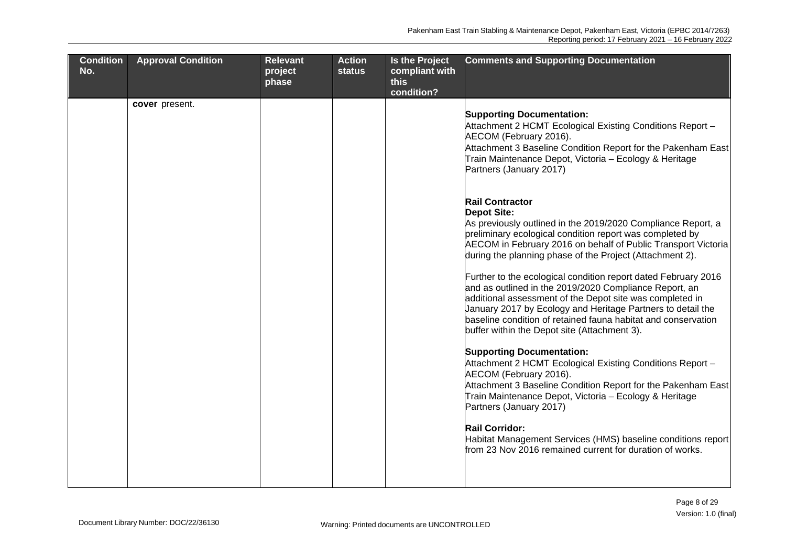| <b>Condition</b><br>No. | <b>Approval Condition</b> | <b>Relevant</b><br>project | <b>Action</b><br><b>status</b> | <b>Is the Project</b><br>compliant with | <b>Comments and Supporting Documentation</b>                                                                                                                                                                                                                                                                                                                                                                                                                                                                                                                                                                                                                                                                                                                                                                                                                                                                                                                                                                                                                                                                       |
|-------------------------|---------------------------|----------------------------|--------------------------------|-----------------------------------------|--------------------------------------------------------------------------------------------------------------------------------------------------------------------------------------------------------------------------------------------------------------------------------------------------------------------------------------------------------------------------------------------------------------------------------------------------------------------------------------------------------------------------------------------------------------------------------------------------------------------------------------------------------------------------------------------------------------------------------------------------------------------------------------------------------------------------------------------------------------------------------------------------------------------------------------------------------------------------------------------------------------------------------------------------------------------------------------------------------------------|
|                         |                           | phase                      |                                | this<br>condition?                      |                                                                                                                                                                                                                                                                                                                                                                                                                                                                                                                                                                                                                                                                                                                                                                                                                                                                                                                                                                                                                                                                                                                    |
|                         | cover present.            |                            |                                |                                         | <b>Supporting Documentation:</b><br>Attachment 2 HCMT Ecological Existing Conditions Report -<br>AECOM (February 2016).<br>Attachment 3 Baseline Condition Report for the Pakenham East<br>Train Maintenance Depot, Victoria - Ecology & Heritage<br>Partners (January 2017)                                                                                                                                                                                                                                                                                                                                                                                                                                                                                                                                                                                                                                                                                                                                                                                                                                       |
|                         |                           |                            |                                |                                         | <b>Rail Contractor</b><br><b>Depot Site:</b><br>As previously outlined in the 2019/2020 Compliance Report, a<br>preliminary ecological condition report was completed by<br>AECOM in February 2016 on behalf of Public Transport Victoria<br>during the planning phase of the Project (Attachment 2).<br>Further to the ecological condition report dated February 2016<br>and as outlined in the 2019/2020 Compliance Report, an<br>additional assessment of the Depot site was completed in<br>January 2017 by Ecology and Heritage Partners to detail the<br>baseline condition of retained fauna habitat and conservation<br>buffer within the Depot site (Attachment 3).<br><b>Supporting Documentation:</b><br>Attachment 2 HCMT Ecological Existing Conditions Report -<br>AECOM (February 2016).<br>Attachment 3 Baseline Condition Report for the Pakenham East<br>Train Maintenance Depot, Victoria - Ecology & Heritage<br>Partners (January 2017)<br><b>Rail Corridor:</b><br>Habitat Management Services (HMS) baseline conditions report<br>from 23 Nov 2016 remained current for duration of works. |
|                         |                           |                            |                                |                                         |                                                                                                                                                                                                                                                                                                                                                                                                                                                                                                                                                                                                                                                                                                                                                                                                                                                                                                                                                                                                                                                                                                                    |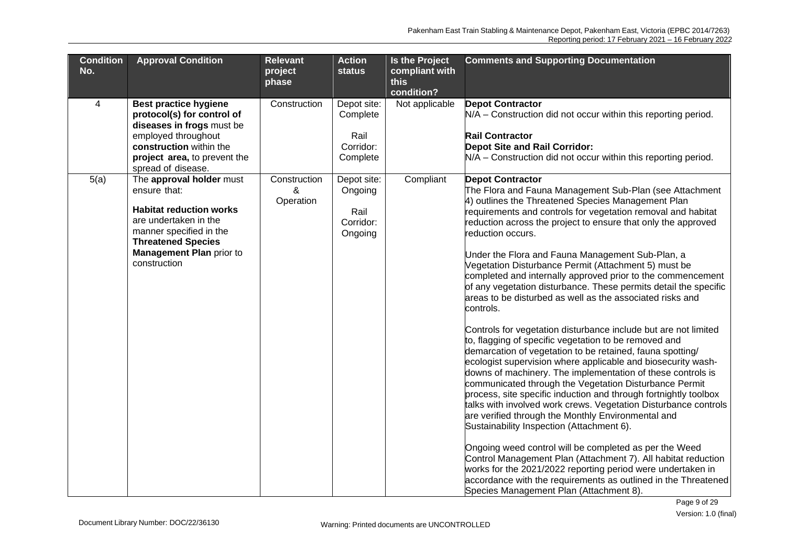| <b>Condition</b><br>No. | <b>Approval Condition</b>                                                                                                                                                                               | <b>Relevant</b><br>project<br>phase | <b>Action</b><br>status                                  | <b>Is the Project</b><br>compliant with<br>this<br>condition? | <b>Comments and Supporting Documentation</b>                                                                                                                                                                                                                                                                                                                                                                                                                                                                                                                                                                                                                                                                                                                                                                                                                                                                                                                                                                                                                                                                                                                                                                                                                                                                                                                                                                                                                                                                                                               |
|-------------------------|---------------------------------------------------------------------------------------------------------------------------------------------------------------------------------------------------------|-------------------------------------|----------------------------------------------------------|---------------------------------------------------------------|------------------------------------------------------------------------------------------------------------------------------------------------------------------------------------------------------------------------------------------------------------------------------------------------------------------------------------------------------------------------------------------------------------------------------------------------------------------------------------------------------------------------------------------------------------------------------------------------------------------------------------------------------------------------------------------------------------------------------------------------------------------------------------------------------------------------------------------------------------------------------------------------------------------------------------------------------------------------------------------------------------------------------------------------------------------------------------------------------------------------------------------------------------------------------------------------------------------------------------------------------------------------------------------------------------------------------------------------------------------------------------------------------------------------------------------------------------------------------------------------------------------------------------------------------------|
| 4                       | <b>Best practice hygiene</b><br>protocol(s) for control of<br>diseases in frogs must be<br>employed throughout<br>construction within the<br>project area, to prevent the<br>spread of disease.         | Construction                        | Depot site:<br>Complete<br>Rail<br>Corridor:<br>Complete | Not applicable                                                | <b>Depot Contractor</b><br>N/A – Construction did not occur within this reporting period.<br><b>Rail Contractor</b><br><b>Depot Site and Rail Corridor:</b><br>N/A - Construction did not occur within this reporting period.                                                                                                                                                                                                                                                                                                                                                                                                                                                                                                                                                                                                                                                                                                                                                                                                                                                                                                                                                                                                                                                                                                                                                                                                                                                                                                                              |
| 5(a)                    | The approval holder must<br>ensure that:<br><b>Habitat reduction works</b><br>are undertaken in the<br>manner specified in the<br><b>Threatened Species</b><br>Management Plan prior to<br>construction | Construction<br>&<br>Operation      | Depot site:<br>Ongoing<br>Rail<br>Corridor:<br>Ongoing   | Compliant                                                     | <b>Depot Contractor</b><br>The Flora and Fauna Management Sub-Plan (see Attachment<br>4) outlines the Threatened Species Management Plan<br>requirements and controls for vegetation removal and habitat<br>reduction across the project to ensure that only the approved<br>reduction occurs.<br>Under the Flora and Fauna Management Sub-Plan, a<br>Vegetation Disturbance Permit (Attachment 5) must be<br>completed and internally approved prior to the commencement<br>of any vegetation disturbance. These permits detail the specific<br>areas to be disturbed as well as the associated risks and<br>controls.<br>Controls for vegetation disturbance include but are not limited<br>to, flagging of specific vegetation to be removed and<br>demarcation of vegetation to be retained, fauna spotting/<br>ecologist supervision where applicable and biosecurity wash-<br>downs of machinery. The implementation of these controls is<br>communicated through the Vegetation Disturbance Permit<br>process, site specific induction and through fortnightly toolbox<br>talks with involved work crews. Vegetation Disturbance controls<br>are verified through the Monthly Environmental and<br>Sustainability Inspection (Attachment 6).<br>Ongoing weed control will be completed as per the Weed<br>Control Management Plan (Attachment 7). All habitat reduction<br>works for the 2021/2022 reporting period were undertaken in<br>accordance with the requirements as outlined in the Threatened<br>Species Management Plan (Attachment 8). |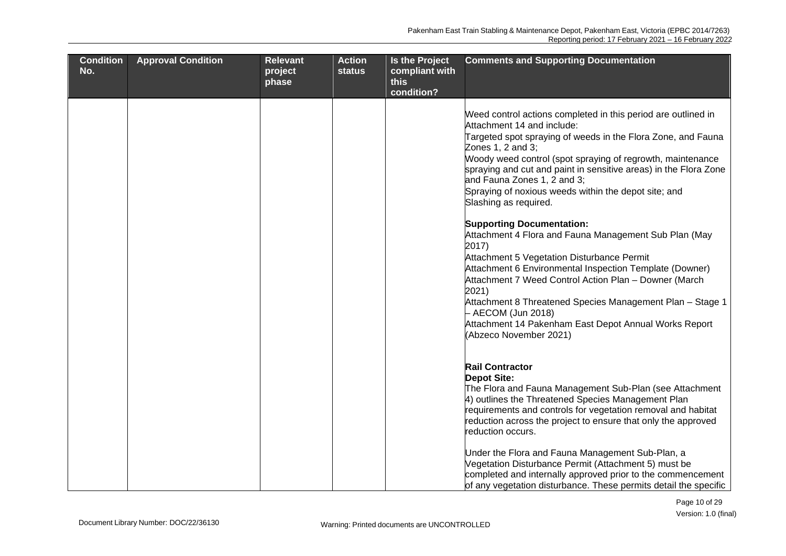| <b>Condition</b><br>No. | <b>Approval Condition</b> | <b>Relevant</b><br>project | <b>Action</b><br><b>status</b> | <b>Is the Project</b><br>compliant with | <b>Comments and Supporting Documentation</b>                                                                                                                  |
|-------------------------|---------------------------|----------------------------|--------------------------------|-----------------------------------------|---------------------------------------------------------------------------------------------------------------------------------------------------------------|
|                         |                           | phase                      |                                | this<br>condition?                      |                                                                                                                                                               |
|                         |                           |                            |                                |                                         | Weed control actions completed in this period are outlined in                                                                                                 |
|                         |                           |                            |                                |                                         | Attachment 14 and include:                                                                                                                                    |
|                         |                           |                            |                                |                                         | Targeted spot spraying of weeds in the Flora Zone, and Fauna<br>Zones 1, 2 and 3;                                                                             |
|                         |                           |                            |                                |                                         | Woody weed control (spot spraying of regrowth, maintenance<br>spraying and cut and paint in sensitive areas) in the Flora Zone<br>and Fauna Zones 1, 2 and 3; |
|                         |                           |                            |                                |                                         | Spraying of noxious weeds within the depot site; and<br>Slashing as required.                                                                                 |
|                         |                           |                            |                                |                                         | <b>Supporting Documentation:</b>                                                                                                                              |
|                         |                           |                            |                                |                                         | Attachment 4 Flora and Fauna Management Sub Plan (May<br>2017)                                                                                                |
|                         |                           |                            |                                |                                         | Attachment 5 Vegetation Disturbance Permit                                                                                                                    |
|                         |                           |                            |                                |                                         | Attachment 6 Environmental Inspection Template (Downer)<br>Attachment 7 Weed Control Action Plan - Downer (March<br>2021)                                     |
|                         |                           |                            |                                |                                         | Attachment 8 Threatened Species Management Plan - Stage 1<br>- AECOM (Jun 2018)                                                                               |
|                         |                           |                            |                                |                                         | Attachment 14 Pakenham East Depot Annual Works Report<br>(Abzeco November 2021)                                                                               |
|                         |                           |                            |                                |                                         | <b>Rail Contractor</b>                                                                                                                                        |
|                         |                           |                            |                                |                                         | <b>Depot Site:</b><br>The Flora and Fauna Management Sub-Plan (see Attachment                                                                                 |
|                         |                           |                            |                                |                                         | 4) outlines the Threatened Species Management Plan                                                                                                            |
|                         |                           |                            |                                |                                         | requirements and controls for vegetation removal and habitat                                                                                                  |
|                         |                           |                            |                                |                                         | reduction across the project to ensure that only the approved<br>reduction occurs.                                                                            |
|                         |                           |                            |                                |                                         | Under the Flora and Fauna Management Sub-Plan, a                                                                                                              |
|                         |                           |                            |                                |                                         | Vegetation Disturbance Permit (Attachment 5) must be                                                                                                          |
|                         |                           |                            |                                |                                         | completed and internally approved prior to the commencement<br>of any vegetation disturbance. These permits detail the specific                               |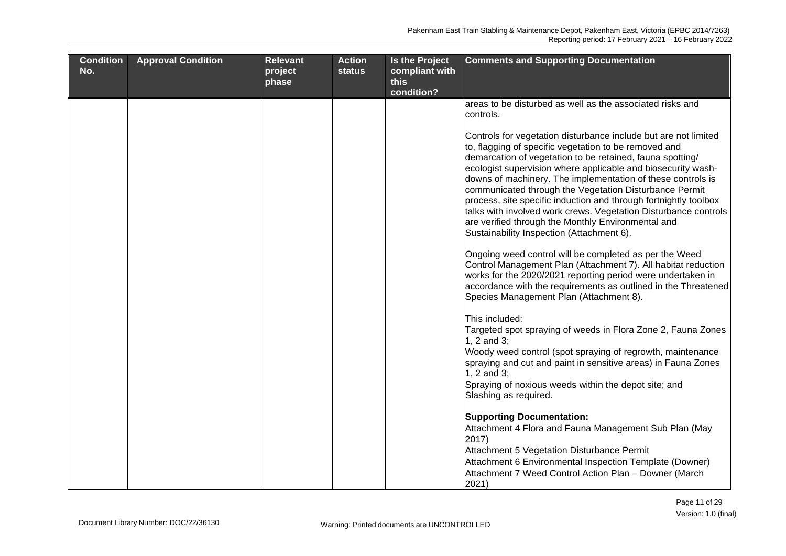| <b>Condition</b> | <b>Approval Condition</b> | <b>Relevant</b> | <b>Action</b> | <b>Is the Project</b> | <b>Comments and Supporting Documentation</b>                                                                               |
|------------------|---------------------------|-----------------|---------------|-----------------------|----------------------------------------------------------------------------------------------------------------------------|
| No.              |                           | project         | <b>status</b> | compliant with        |                                                                                                                            |
|                  |                           | phase           |               | this                  |                                                                                                                            |
|                  |                           |                 |               | condition?            |                                                                                                                            |
|                  |                           |                 |               |                       | areas to be disturbed as well as the associated risks and<br>controls.                                                     |
|                  |                           |                 |               |                       |                                                                                                                            |
|                  |                           |                 |               |                       | Controls for vegetation disturbance include but are not limited                                                            |
|                  |                           |                 |               |                       | to, flagging of specific vegetation to be removed and                                                                      |
|                  |                           |                 |               |                       | demarcation of vegetation to be retained, fauna spotting/                                                                  |
|                  |                           |                 |               |                       | ecologist supervision where applicable and biosecurity wash-                                                               |
|                  |                           |                 |               |                       | downs of machinery. The implementation of these controls is                                                                |
|                  |                           |                 |               |                       | communicated through the Vegetation Disturbance Permit<br>process, site specific induction and through fortnightly toolbox |
|                  |                           |                 |               |                       | talks with involved work crews. Vegetation Disturbance controls                                                            |
|                  |                           |                 |               |                       | are verified through the Monthly Environmental and                                                                         |
|                  |                           |                 |               |                       | Sustainability Inspection (Attachment 6).                                                                                  |
|                  |                           |                 |               |                       | Ongoing weed control will be completed as per the Weed                                                                     |
|                  |                           |                 |               |                       | Control Management Plan (Attachment 7). All habitat reduction                                                              |
|                  |                           |                 |               |                       | works for the 2020/2021 reporting period were undertaken in                                                                |
|                  |                           |                 |               |                       | accordance with the requirements as outlined in the Threatened<br>Species Management Plan (Attachment 8).                  |
|                  |                           |                 |               |                       |                                                                                                                            |
|                  |                           |                 |               |                       | This included:                                                                                                             |
|                  |                           |                 |               |                       | Targeted spot spraying of weeds in Flora Zone 2, Fauna Zones<br>1, 2 and $3$ ;                                             |
|                  |                           |                 |               |                       | Woody weed control (spot spraying of regrowth, maintenance                                                                 |
|                  |                           |                 |               |                       | spraying and cut and paint in sensitive areas) in Fauna Zones                                                              |
|                  |                           |                 |               |                       | 1, 2 and $3$ ;                                                                                                             |
|                  |                           |                 |               |                       | Spraying of noxious weeds within the depot site; and                                                                       |
|                  |                           |                 |               |                       | Slashing as required.                                                                                                      |
|                  |                           |                 |               |                       | <b>Supporting Documentation:</b>                                                                                           |
|                  |                           |                 |               |                       | Attachment 4 Flora and Fauna Management Sub Plan (May                                                                      |
|                  |                           |                 |               |                       | 2017)                                                                                                                      |
|                  |                           |                 |               |                       | Attachment 5 Vegetation Disturbance Permit                                                                                 |
|                  |                           |                 |               |                       | Attachment 6 Environmental Inspection Template (Downer)<br>Attachment 7 Weed Control Action Plan - Downer (March           |
|                  |                           |                 |               |                       | 2021)                                                                                                                      |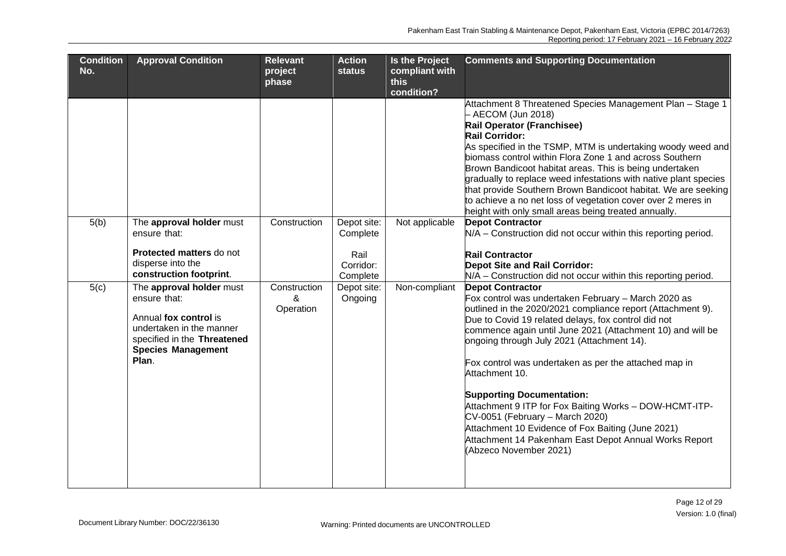| <b>Condition</b><br>No. | <b>Approval Condition</b>                                                                                                                                          | <b>Relevant</b><br>project     | <b>Action</b><br><b>status</b>                           | <b>Is the Project</b><br>compliant with | <b>Comments and Supporting Documentation</b>                                                                                                                                                                                                                                                                                                                                                                                                                                                                                                                                                                                                                         |
|-------------------------|--------------------------------------------------------------------------------------------------------------------------------------------------------------------|--------------------------------|----------------------------------------------------------|-----------------------------------------|----------------------------------------------------------------------------------------------------------------------------------------------------------------------------------------------------------------------------------------------------------------------------------------------------------------------------------------------------------------------------------------------------------------------------------------------------------------------------------------------------------------------------------------------------------------------------------------------------------------------------------------------------------------------|
|                         |                                                                                                                                                                    | phase                          |                                                          | this<br>condition?                      |                                                                                                                                                                                                                                                                                                                                                                                                                                                                                                                                                                                                                                                                      |
|                         |                                                                                                                                                                    |                                |                                                          |                                         | Attachment 8 Threatened Species Management Plan - Stage 1<br>- AECOM (Jun 2018)<br>Rail Operator (Franchisee)<br><b>Rail Corridor:</b><br>As specified in the TSMP, MTM is undertaking woody weed and<br>biomass control within Flora Zone 1 and across Southern<br>Brown Bandicoot habitat areas. This is being undertaken<br>gradually to replace weed infestations with native plant species<br>that provide Southern Brown Bandicoot habitat. We are seeking<br>to achieve a no net loss of vegetation cover over 2 meres in                                                                                                                                     |
| 5(b)                    | The approval holder must<br>ensure that:<br>Protected matters do not<br>disperse into the<br>construction footprint.                                               | Construction                   | Depot site:<br>Complete<br>Rail<br>Corridor:<br>Complete | Not applicable                          | height with only small areas being treated annually.<br><b>Depot Contractor</b><br>N/A - Construction did not occur within this reporting period.<br><b>Rail Contractor</b><br><b>Depot Site and Rail Corridor:</b><br>N/A - Construction did not occur within this reporting period.                                                                                                                                                                                                                                                                                                                                                                                |
| 5(c)                    | The approval holder must<br>ensure that:<br>Annual fox control is<br>undertaken in the manner<br>specified in the Threatened<br><b>Species Management</b><br>Plan. | Construction<br>&<br>Operation | Depot site:<br>Ongoing                                   | Non-compliant                           | <b>Depot Contractor</b><br>Fox control was undertaken February - March 2020 as<br>outlined in the 2020/2021 compliance report (Attachment 9).<br>Due to Covid 19 related delays, fox control did not<br>commence again until June 2021 (Attachment 10) and will be<br>ongoing through July 2021 (Attachment 14).<br>Fox control was undertaken as per the attached map in<br>Attachment 10.<br><b>Supporting Documentation:</b><br>Attachment 9 ITP for Fox Baiting Works - DOW-HCMT-ITP-<br>CV-0051 (February - March 2020)<br>Attachment 10 Evidence of Fox Baiting (June 2021)<br>Attachment 14 Pakenham East Depot Annual Works Report<br>(Abzeco November 2021) |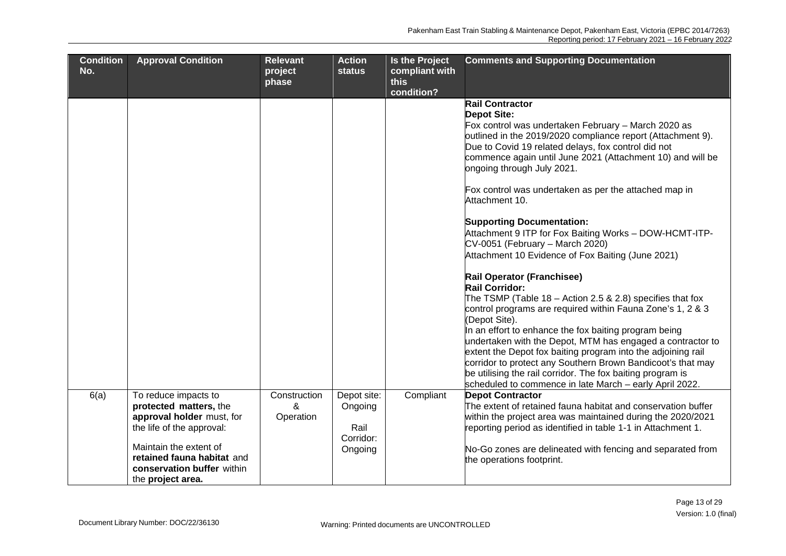| <b>Condition</b> | <b>Approval Condition</b>                           | <b>Relevant</b>  | <b>Action</b> | <b>Is the Project</b>  | <b>Comments and Supporting Documentation</b>                                                                                |
|------------------|-----------------------------------------------------|------------------|---------------|------------------------|-----------------------------------------------------------------------------------------------------------------------------|
| No.              |                                                     | project<br>phase | <b>status</b> | compliant with<br>this |                                                                                                                             |
|                  |                                                     |                  |               | condition?             |                                                                                                                             |
|                  |                                                     |                  |               |                        | <b>Rail Contractor</b>                                                                                                      |
|                  |                                                     |                  |               |                        | <b>Depot Site:</b>                                                                                                          |
|                  |                                                     |                  |               |                        | Fox control was undertaken February - March 2020 as                                                                         |
|                  |                                                     |                  |               |                        | outlined in the 2019/2020 compliance report (Attachment 9).                                                                 |
|                  |                                                     |                  |               |                        | Due to Covid 19 related delays, fox control did not<br>commence again until June 2021 (Attachment 10) and will be           |
|                  |                                                     |                  |               |                        | ongoing through July 2021.                                                                                                  |
|                  |                                                     |                  |               |                        |                                                                                                                             |
|                  |                                                     |                  |               |                        | Fox control was undertaken as per the attached map in                                                                       |
|                  |                                                     |                  |               |                        | Attachment 10.                                                                                                              |
|                  |                                                     |                  |               |                        | <b>Supporting Documentation:</b>                                                                                            |
|                  |                                                     |                  |               |                        | Attachment 9 ITP for Fox Baiting Works - DOW-HCMT-ITP-                                                                      |
|                  |                                                     |                  |               |                        | CV-0051 (February - March 2020)                                                                                             |
|                  |                                                     |                  |               |                        | Attachment 10 Evidence of Fox Baiting (June 2021)                                                                           |
|                  |                                                     |                  |               |                        | Rail Operator (Franchisee)                                                                                                  |
|                  |                                                     |                  |               |                        | <b>Rail Corridor:</b>                                                                                                       |
|                  |                                                     |                  |               |                        | The TSMP (Table 18 – Action 2.5 & 2.8) specifies that fox                                                                   |
|                  |                                                     |                  |               |                        | control programs are required within Fauna Zone's 1, 2 & 3                                                                  |
|                  |                                                     |                  |               |                        | (Depot Site).<br>In an effort to enhance the fox baiting program being                                                      |
|                  |                                                     |                  |               |                        | undertaken with the Depot, MTM has engaged a contractor to                                                                  |
|                  |                                                     |                  |               |                        | extent the Depot fox baiting program into the adjoining rail                                                                |
|                  |                                                     |                  |               |                        | corridor to protect any Southern Brown Bandicoot's that may                                                                 |
|                  |                                                     |                  |               |                        | be utilising the rail corridor. The fox baiting program is                                                                  |
|                  |                                                     |                  |               |                        | scheduled to commence in late March - early April 2022.                                                                     |
| 6(a)             | To reduce impacts to                                | Construction     | Depot site:   | Compliant              | <b>Depot Contractor</b>                                                                                                     |
|                  | protected matters, the<br>approval holder must, for | &<br>Operation   | Ongoing       |                        | The extent of retained fauna habitat and conservation buffer<br>within the project area was maintained during the 2020/2021 |
|                  | the life of the approval:                           |                  | Rail          |                        | reporting period as identified in table 1-1 in Attachment 1.                                                                |
|                  |                                                     |                  | Corridor:     |                        |                                                                                                                             |
|                  | Maintain the extent of                              |                  | Ongoing       |                        | No-Go zones are delineated with fencing and separated from                                                                  |
|                  | retained fauna habitat and                          |                  |               |                        | the operations footprint.                                                                                                   |
|                  | conservation buffer within                          |                  |               |                        |                                                                                                                             |
|                  | the <b>project</b> area.                            |                  |               |                        |                                                                                                                             |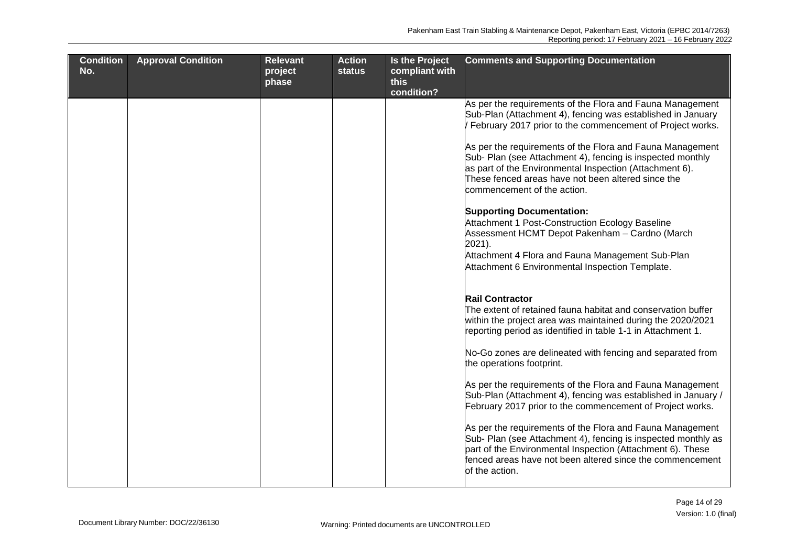| <b>Condition</b> | <b>Approval Condition</b> | <b>Relevant</b> | <b>Action</b> | Is the Project | <b>Comments and Supporting Documentation</b>                                                                            |
|------------------|---------------------------|-----------------|---------------|----------------|-------------------------------------------------------------------------------------------------------------------------|
| No.              |                           | project         | <b>status</b> | compliant with |                                                                                                                         |
|                  |                           | phase           |               | this           |                                                                                                                         |
|                  |                           |                 |               | condition?     | As per the requirements of the Flora and Fauna Management                                                               |
|                  |                           |                 |               |                | Sub-Plan (Attachment 4), fencing was established in January                                                             |
|                  |                           |                 |               |                | February 2017 prior to the commencement of Project works.                                                               |
|                  |                           |                 |               |                |                                                                                                                         |
|                  |                           |                 |               |                | As per the requirements of the Flora and Fauna Management                                                               |
|                  |                           |                 |               |                | Sub- Plan (see Attachment 4), fencing is inspected monthly                                                              |
|                  |                           |                 |               |                | as part of the Environmental Inspection (Attachment 6).                                                                 |
|                  |                           |                 |               |                | These fenced areas have not been altered since the                                                                      |
|                  |                           |                 |               |                | commencement of the action.                                                                                             |
|                  |                           |                 |               |                | <b>Supporting Documentation:</b>                                                                                        |
|                  |                           |                 |               |                | Attachment 1 Post-Construction Ecology Baseline                                                                         |
|                  |                           |                 |               |                | Assessment HCMT Depot Pakenham - Cardno (March                                                                          |
|                  |                           |                 |               |                | $2021$ ).                                                                                                               |
|                  |                           |                 |               |                | Attachment 4 Flora and Fauna Management Sub-Plan                                                                        |
|                  |                           |                 |               |                | Attachment 6 Environmental Inspection Template.                                                                         |
|                  |                           |                 |               |                |                                                                                                                         |
|                  |                           |                 |               |                | <b>Rail Contractor</b>                                                                                                  |
|                  |                           |                 |               |                | The extent of retained fauna habitat and conservation buffer                                                            |
|                  |                           |                 |               |                | within the project area was maintained during the 2020/2021                                                             |
|                  |                           |                 |               |                | reporting period as identified in table 1-1 in Attachment 1.                                                            |
|                  |                           |                 |               |                |                                                                                                                         |
|                  |                           |                 |               |                | No-Go zones are delineated with fencing and separated from                                                              |
|                  |                           |                 |               |                | the operations footprint.                                                                                               |
|                  |                           |                 |               |                | As per the requirements of the Flora and Fauna Management                                                               |
|                  |                           |                 |               |                | Sub-Plan (Attachment 4), fencing was established in January /                                                           |
|                  |                           |                 |               |                | February 2017 prior to the commencement of Project works.                                                               |
|                  |                           |                 |               |                |                                                                                                                         |
|                  |                           |                 |               |                | As per the requirements of the Flora and Fauna Management                                                               |
|                  |                           |                 |               |                | Sub- Plan (see Attachment 4), fencing is inspected monthly as                                                           |
|                  |                           |                 |               |                | part of the Environmental Inspection (Attachment 6). These<br>fenced areas have not been altered since the commencement |
|                  |                           |                 |               |                | of the action.                                                                                                          |
|                  |                           |                 |               |                |                                                                                                                         |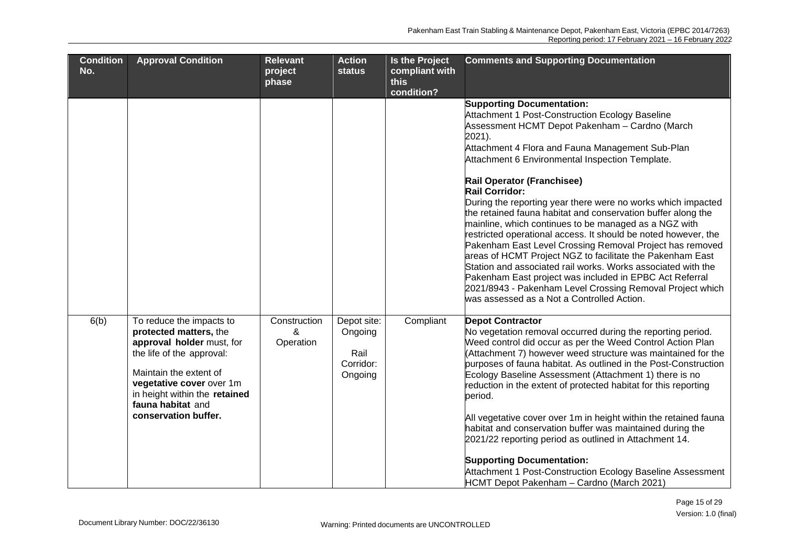| <b>Condition</b><br>No. | <b>Approval Condition</b>                                                                                                                                                                                                                        | <b>Relevant</b><br>project<br>phase | <b>Action</b><br><b>status</b>                         | Is the Project<br>compliant with<br>this | <b>Comments and Supporting Documentation</b>                                                                                                                                                                                                                                                                                                                                                                                                                                                                                                                                                                                                                                                                                                                                                                                                                                                                                            |
|-------------------------|--------------------------------------------------------------------------------------------------------------------------------------------------------------------------------------------------------------------------------------------------|-------------------------------------|--------------------------------------------------------|------------------------------------------|-----------------------------------------------------------------------------------------------------------------------------------------------------------------------------------------------------------------------------------------------------------------------------------------------------------------------------------------------------------------------------------------------------------------------------------------------------------------------------------------------------------------------------------------------------------------------------------------------------------------------------------------------------------------------------------------------------------------------------------------------------------------------------------------------------------------------------------------------------------------------------------------------------------------------------------------|
|                         |                                                                                                                                                                                                                                                  |                                     |                                                        | condition?                               |                                                                                                                                                                                                                                                                                                                                                                                                                                                                                                                                                                                                                                                                                                                                                                                                                                                                                                                                         |
|                         |                                                                                                                                                                                                                                                  |                                     |                                                        |                                          | <b>Supporting Documentation:</b><br>Attachment 1 Post-Construction Ecology Baseline<br>Assessment HCMT Depot Pakenham - Cardno (March<br>2021).<br>Attachment 4 Flora and Fauna Management Sub-Plan<br>Attachment 6 Environmental Inspection Template.<br>Rail Operator (Franchisee)<br><b>Rail Corridor:</b><br>During the reporting year there were no works which impacted<br>the retained fauna habitat and conservation buffer along the<br>mainline, which continues to be managed as a NGZ with<br>restricted operational access. It should be noted however, the<br>Pakenham East Level Crossing Removal Project has removed<br>areas of HCMT Project NGZ to facilitate the Pakenham East<br>Station and associated rail works. Works associated with the<br>Pakenham East project was included in EPBC Act Referral<br>2021/8943 - Pakenham Level Crossing Removal Project which<br>was assessed as a Not a Controlled Action. |
| 6(b)                    | To reduce the impacts to<br>protected matters, the<br>approval holder must, for<br>the life of the approval:<br>Maintain the extent of<br>vegetative cover over 1m<br>in height within the retained<br>fauna habitat and<br>conservation buffer. | Construction<br>&<br>Operation      | Depot site:<br>Ongoing<br>Rail<br>Corridor:<br>Ongoing | Compliant                                | <b>Depot Contractor</b><br>No vegetation removal occurred during the reporting period.<br>Weed control did occur as per the Weed Control Action Plan<br>(Attachment 7) however weed structure was maintained for the<br>purposes of fauna habitat. As outlined in the Post-Construction<br>Ecology Baseline Assessment (Attachment 1) there is no<br>reduction in the extent of protected habitat for this reporting<br>period.<br>All vegetative cover over 1m in height within the retained fauna<br>habitat and conservation buffer was maintained during the<br>2021/22 reporting period as outlined in Attachment 14.<br><b>Supporting Documentation:</b><br>Attachment 1 Post-Construction Ecology Baseline Assessment<br>HCMT Depot Pakenham - Cardno (March 2021)                                                                                                                                                               |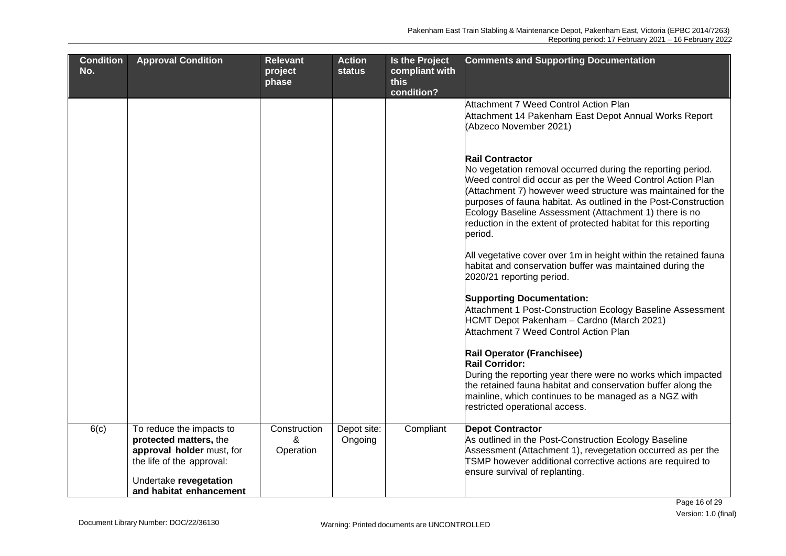| <b>Condition</b><br>No. | <b>Approval Condition</b>                                                                                                                                         | <b>Relevant</b><br>project<br>phase | <b>Action</b><br><b>status</b> | <b>Is the Project</b><br>compliant with<br>this<br>condition? | <b>Comments and Supporting Documentation</b>                                                                                                                                                                                                                                                                                                                                                                                   |
|-------------------------|-------------------------------------------------------------------------------------------------------------------------------------------------------------------|-------------------------------------|--------------------------------|---------------------------------------------------------------|--------------------------------------------------------------------------------------------------------------------------------------------------------------------------------------------------------------------------------------------------------------------------------------------------------------------------------------------------------------------------------------------------------------------------------|
|                         |                                                                                                                                                                   |                                     |                                |                                                               | Attachment 7 Weed Control Action Plan<br>Attachment 14 Pakenham East Depot Annual Works Report<br>(Abzeco November 2021)                                                                                                                                                                                                                                                                                                       |
|                         |                                                                                                                                                                   |                                     |                                |                                                               | <b>Rail Contractor</b><br>No vegetation removal occurred during the reporting period.<br>Weed control did occur as per the Weed Control Action Plan<br>(Attachment 7) however weed structure was maintained for the<br>purposes of fauna habitat. As outlined in the Post-Construction<br>Ecology Baseline Assessment (Attachment 1) there is no<br>reduction in the extent of protected habitat for this reporting<br>period. |
|                         |                                                                                                                                                                   |                                     |                                |                                                               | All vegetative cover over 1m in height within the retained fauna<br>habitat and conservation buffer was maintained during the<br>2020/21 reporting period.                                                                                                                                                                                                                                                                     |
|                         |                                                                                                                                                                   |                                     |                                |                                                               | <b>Supporting Documentation:</b><br>Attachment 1 Post-Construction Ecology Baseline Assessment<br>HCMT Depot Pakenham - Cardno (March 2021)<br>Attachment 7 Weed Control Action Plan                                                                                                                                                                                                                                           |
|                         |                                                                                                                                                                   |                                     |                                |                                                               | Rail Operator (Franchisee)<br><b>Rail Corridor:</b><br>During the reporting year there were no works which impacted<br>the retained fauna habitat and conservation buffer along the<br>mainline, which continues to be managed as a NGZ with<br>restricted operational access.                                                                                                                                                 |
| 6(c)                    | To reduce the impacts to<br>protected matters, the<br>approval holder must, for<br>the life of the approval:<br>Undertake revegetation<br>and habitat enhancement | Construction<br>&<br>Operation      | Depot site:<br>Ongoing         | Compliant                                                     | <b>Depot Contractor</b><br>As outlined in the Post-Construction Ecology Baseline<br>Assessment (Attachment 1), revegetation occurred as per the<br>TSMP however additional corrective actions are required to<br>ensure survival of replanting.                                                                                                                                                                                |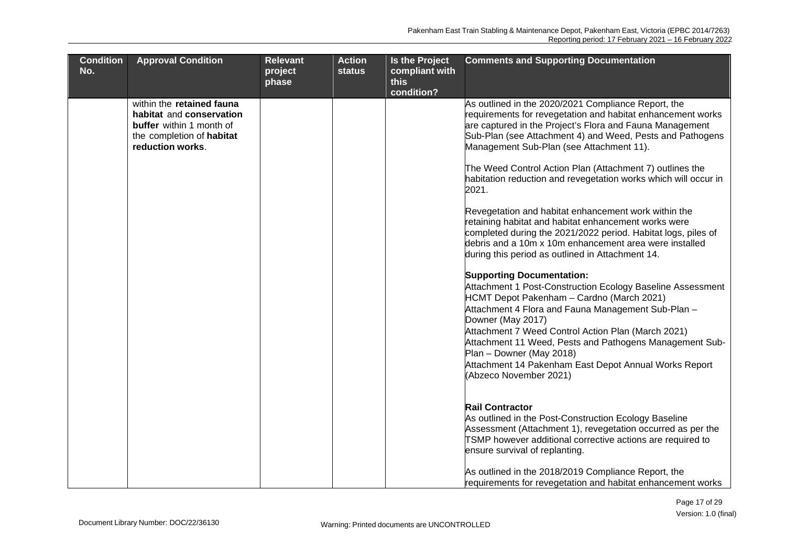| <b>Condition</b> | <b>Approval Condition</b>                     | <b>Relevant</b> | <b>Action</b> | <b>Is the Project</b> | <b>Comments and Supporting Documentation</b>                                                                         |
|------------------|-----------------------------------------------|-----------------|---------------|-----------------------|----------------------------------------------------------------------------------------------------------------------|
| No.              |                                               | project         | <b>status</b> | compliant with        |                                                                                                                      |
|                  |                                               | phase           |               | this<br>condition?    |                                                                                                                      |
|                  | within the retained fauna                     |                 |               |                       | As outlined in the 2020/2021 Compliance Report, the                                                                  |
|                  | habitat and conservation                      |                 |               |                       | requirements for revegetation and habitat enhancement works                                                          |
|                  | <b>buffer</b> within 1 month of               |                 |               |                       | are captured in the Project's Flora and Fauna Management                                                             |
|                  | the completion of habitat<br>reduction works. |                 |               |                       | Sub-Plan (see Attachment 4) and Weed, Pests and Pathogens<br>Management Sub-Plan (see Attachment 11).                |
|                  |                                               |                 |               |                       |                                                                                                                      |
|                  |                                               |                 |               |                       | The Weed Control Action Plan (Attachment 7) outlines the                                                             |
|                  |                                               |                 |               |                       | habitation reduction and revegetation works which will occur in<br>2021.                                             |
|                  |                                               |                 |               |                       |                                                                                                                      |
|                  |                                               |                 |               |                       | Revegetation and habitat enhancement work within the<br>retaining habitat and habitat enhancement works were         |
|                  |                                               |                 |               |                       | completed during the 2021/2022 period. Habitat logs, piles of                                                        |
|                  |                                               |                 |               |                       | debris and a 10m x 10m enhancement area were installed                                                               |
|                  |                                               |                 |               |                       | during this period as outlined in Attachment 14.                                                                     |
|                  |                                               |                 |               |                       | <b>Supporting Documentation:</b>                                                                                     |
|                  |                                               |                 |               |                       | Attachment 1 Post-Construction Ecology Baseline Assessment                                                           |
|                  |                                               |                 |               |                       | HCMT Depot Pakenham - Cardno (March 2021)<br>Attachment 4 Flora and Fauna Management Sub-Plan -                      |
|                  |                                               |                 |               |                       | Downer (May 2017)                                                                                                    |
|                  |                                               |                 |               |                       | Attachment 7 Weed Control Action Plan (March 2021)                                                                   |
|                  |                                               |                 |               |                       | Attachment 11 Weed, Pests and Pathogens Management Sub-<br>Plan - Downer (May 2018)                                  |
|                  |                                               |                 |               |                       | Attachment 14 Pakenham East Depot Annual Works Report                                                                |
|                  |                                               |                 |               |                       | (Abzeco November 2021)                                                                                               |
|                  |                                               |                 |               |                       |                                                                                                                      |
|                  |                                               |                 |               |                       | <b>Rail Contractor</b>                                                                                               |
|                  |                                               |                 |               |                       | As outlined in the Post-Construction Ecology Baseline<br>Assessment (Attachment 1), revegetation occurred as per the |
|                  |                                               |                 |               |                       | TSMP however additional corrective actions are required to                                                           |
|                  |                                               |                 |               |                       | ensure survival of replanting.                                                                                       |
|                  |                                               |                 |               |                       | As outlined in the 2018/2019 Compliance Report, the                                                                  |
|                  |                                               |                 |               |                       | requirements for revegetation and habitat enhancement works                                                          |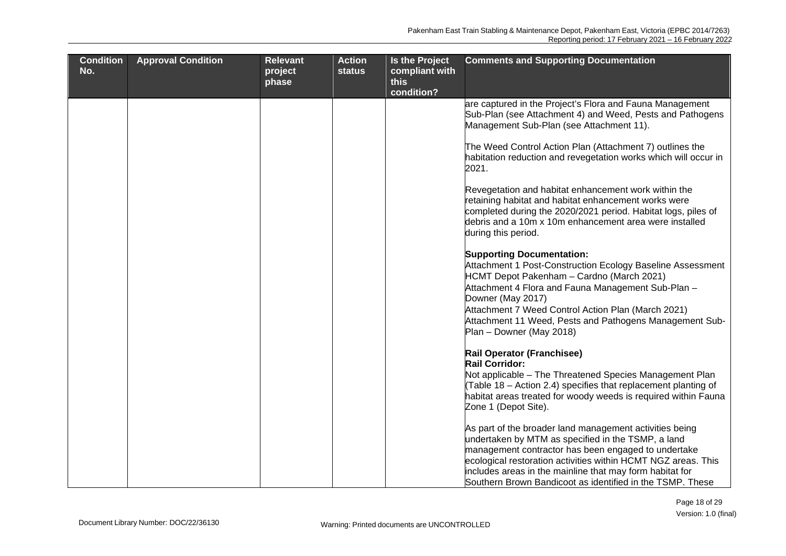| <b>Condition</b> | <b>Approval Condition</b> | <b>Relevant</b> | <b>Action</b> | <b>Is the Project</b> | <b>Comments and Supporting Documentation</b>                                                                                     |
|------------------|---------------------------|-----------------|---------------|-----------------------|----------------------------------------------------------------------------------------------------------------------------------|
| No.              |                           | project         | status        | compliant with        |                                                                                                                                  |
|                  |                           | phase           |               | this                  |                                                                                                                                  |
|                  |                           |                 |               | condition?            | are captured in the Project's Flora and Fauna Management                                                                         |
|                  |                           |                 |               |                       | Sub-Plan (see Attachment 4) and Weed, Pests and Pathogens                                                                        |
|                  |                           |                 |               |                       | Management Sub-Plan (see Attachment 11).                                                                                         |
|                  |                           |                 |               |                       |                                                                                                                                  |
|                  |                           |                 |               |                       | The Weed Control Action Plan (Attachment 7) outlines the                                                                         |
|                  |                           |                 |               |                       | habitation reduction and revegetation works which will occur in                                                                  |
|                  |                           |                 |               |                       | 2021.                                                                                                                            |
|                  |                           |                 |               |                       |                                                                                                                                  |
|                  |                           |                 |               |                       | Revegetation and habitat enhancement work within the<br>retaining habitat and habitat enhancement works were                     |
|                  |                           |                 |               |                       | completed during the 2020/2021 period. Habitat logs, piles of                                                                    |
|                  |                           |                 |               |                       | debris and a 10m x 10m enhancement area were installed                                                                           |
|                  |                           |                 |               |                       | during this period.                                                                                                              |
|                  |                           |                 |               |                       |                                                                                                                                  |
|                  |                           |                 |               |                       | <b>Supporting Documentation:</b>                                                                                                 |
|                  |                           |                 |               |                       | Attachment 1 Post-Construction Ecology Baseline Assessment                                                                       |
|                  |                           |                 |               |                       | HCMT Depot Pakenham - Cardno (March 2021)                                                                                        |
|                  |                           |                 |               |                       | Attachment 4 Flora and Fauna Management Sub-Plan -<br>Downer (May 2017)                                                          |
|                  |                           |                 |               |                       | Attachment 7 Weed Control Action Plan (March 2021)                                                                               |
|                  |                           |                 |               |                       | Attachment 11 Weed, Pests and Pathogens Management Sub-                                                                          |
|                  |                           |                 |               |                       | Plan - Downer (May 2018)                                                                                                         |
|                  |                           |                 |               |                       |                                                                                                                                  |
|                  |                           |                 |               |                       | Rail Operator (Franchisee)                                                                                                       |
|                  |                           |                 |               |                       | Rail Corridor:                                                                                                                   |
|                  |                           |                 |               |                       | Not applicable - The Threatened Species Management Plan                                                                          |
|                  |                           |                 |               |                       | (Table 18 – Action 2.4) specifies that replacement planting of<br>habitat areas treated for woody weeds is required within Fauna |
|                  |                           |                 |               |                       | Zone 1 (Depot Site).                                                                                                             |
|                  |                           |                 |               |                       |                                                                                                                                  |
|                  |                           |                 |               |                       | As part of the broader land management activities being                                                                          |
|                  |                           |                 |               |                       | undertaken by MTM as specified in the TSMP, a land                                                                               |
|                  |                           |                 |               |                       | management contractor has been engaged to undertake                                                                              |
|                  |                           |                 |               |                       | ecological restoration activities within HCMT NGZ areas. This                                                                    |
|                  |                           |                 |               |                       | includes areas in the mainline that may form habitat for                                                                         |
|                  |                           |                 |               |                       | Southern Brown Bandicoot as identified in the TSMP. These                                                                        |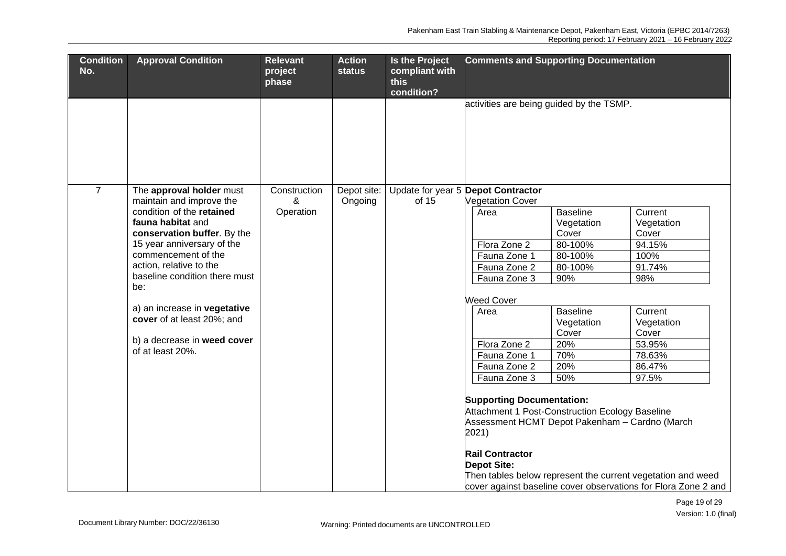| <b>Condition</b><br>No. | <b>Approval Condition</b>                                                                                                                                                                                                                                                                                                                                                      | <b>Relevant</b><br>project<br>phase | <b>Action</b><br><b>status</b> | <b>Is the Project</b><br>compliant with<br>this<br>condition? | <b>Comments and Supporting Documentation</b>                                                                                                                                                                                                                                                                                                                                                                                         |                                                                                                                                                      |                                                                                                                                                                                                                                                                             |
|-------------------------|--------------------------------------------------------------------------------------------------------------------------------------------------------------------------------------------------------------------------------------------------------------------------------------------------------------------------------------------------------------------------------|-------------------------------------|--------------------------------|---------------------------------------------------------------|--------------------------------------------------------------------------------------------------------------------------------------------------------------------------------------------------------------------------------------------------------------------------------------------------------------------------------------------------------------------------------------------------------------------------------------|------------------------------------------------------------------------------------------------------------------------------------------------------|-----------------------------------------------------------------------------------------------------------------------------------------------------------------------------------------------------------------------------------------------------------------------------|
|                         |                                                                                                                                                                                                                                                                                                                                                                                |                                     |                                |                                                               | activities are being guided by the TSMP.                                                                                                                                                                                                                                                                                                                                                                                             |                                                                                                                                                      |                                                                                                                                                                                                                                                                             |
| $\overline{7}$          | The approval holder must<br>maintain and improve the<br>condition of the retained<br>fauna habitat and<br>conservation buffer. By the<br>15 year anniversary of the<br>commencement of the<br>action, relative to the<br>baseline condition there must<br>be:<br>a) an increase in vegetative<br>cover of at least 20%; and<br>b) a decrease in weed cover<br>of at least 20%. | Construction<br>&<br>Operation      | Depot site:<br>Ongoing         | of 15                                                         | Update for year 5 Depot Contractor<br><b>Vegetation Cover</b><br>Area<br>Flora Zone 2<br>Fauna Zone 1<br>Fauna Zone 2<br>Fauna Zone 3<br><b>Weed Cover</b><br>Area<br>Flora Zone 2<br>Fauna Zone 1<br>Fauna Zone 2<br>Fauna Zone 3<br><b>Supporting Documentation:</b><br>Attachment 1 Post-Construction Ecology Baseline<br>Assessment HCMT Depot Pakenham - Cardno (March<br>2021)<br><b>Rail Contractor</b><br><b>Depot Site:</b> | <b>Baseline</b><br>Vegetation<br>Cover<br>80-100%<br>80-100%<br>80-100%<br>90%<br><b>Baseline</b><br>Vegetation<br>Cover<br>20%<br>70%<br>20%<br>50% | Current<br>Vegetation<br>Cover<br>94.15%<br>100%<br>91.74%<br>98%<br>Current<br>Vegetation<br>Cover<br>53.95%<br>78.63%<br>86.47%<br>97.5%<br>Then tables below represent the current vegetation and weed<br>cover against baseline cover observations for Flora Zone 2 and |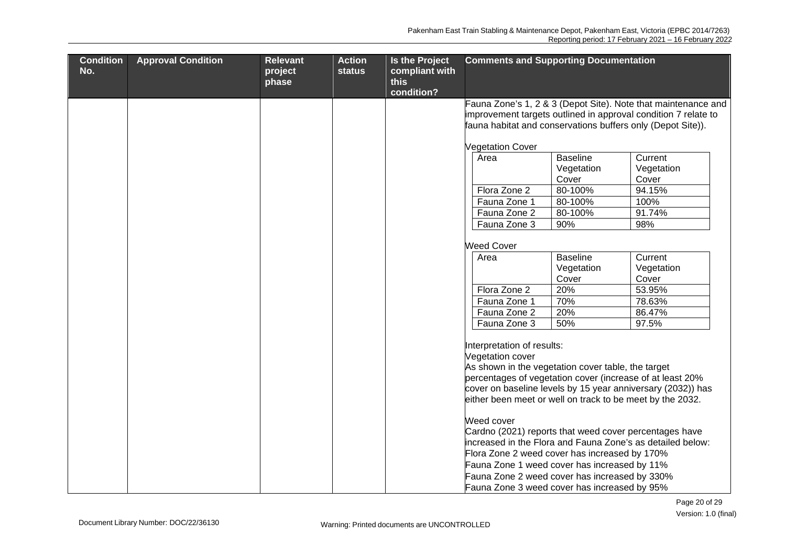| <b>Condition</b><br>No. | <b>Approval Condition</b> | <b>Relevant</b><br>project<br>phase | <b>Action</b><br><b>status</b> | <b>Is the Project</b><br>compliant with<br>this<br>condition? |                                                | <b>Comments and Supporting Documentation</b>       |                                                                                                                                                                                                |
|-------------------------|---------------------------|-------------------------------------|--------------------------------|---------------------------------------------------------------|------------------------------------------------|----------------------------------------------------|------------------------------------------------------------------------------------------------------------------------------------------------------------------------------------------------|
|                         |                           |                                     |                                |                                                               |                                                |                                                    | Fauna Zone's 1, 2 & 3 (Depot Site). Note that maintenance and<br>improvement targets outlined in approval condition 7 relate to<br>fauna habitat and conservations buffers only (Depot Site)). |
|                         |                           |                                     |                                |                                                               |                                                |                                                    |                                                                                                                                                                                                |
|                         |                           |                                     |                                |                                                               | <b>Vegetation Cover</b>                        |                                                    |                                                                                                                                                                                                |
|                         |                           |                                     |                                |                                                               | Area                                           | <b>Baseline</b>                                    | Current                                                                                                                                                                                        |
|                         |                           |                                     |                                |                                                               |                                                | Vegetation                                         | Vegetation                                                                                                                                                                                     |
|                         |                           |                                     |                                |                                                               |                                                | Cover                                              | Cover                                                                                                                                                                                          |
|                         |                           |                                     |                                |                                                               | Flora Zone 2                                   | 80-100%                                            | 94.15%                                                                                                                                                                                         |
|                         |                           |                                     |                                |                                                               | Fauna Zone 1                                   | 80-100%                                            | 100%                                                                                                                                                                                           |
|                         |                           |                                     |                                |                                                               | Fauna Zone 2                                   | 80-100%                                            | 91.74%                                                                                                                                                                                         |
|                         |                           |                                     |                                |                                                               | Fauna Zone 3                                   | 90%                                                | 98%                                                                                                                                                                                            |
|                         |                           |                                     |                                |                                                               | <b>Weed Cover</b>                              |                                                    |                                                                                                                                                                                                |
|                         |                           |                                     |                                |                                                               | Area                                           | <b>Baseline</b><br>Vegetation                      | Current<br>Vegetation                                                                                                                                                                          |
|                         |                           |                                     |                                |                                                               |                                                | Cover                                              | Cover                                                                                                                                                                                          |
|                         |                           |                                     |                                |                                                               | Flora Zone 2                                   | 20%                                                | 53.95%                                                                                                                                                                                         |
|                         |                           |                                     |                                |                                                               | Fauna Zone 1                                   | 70%                                                | 78.63%                                                                                                                                                                                         |
|                         |                           |                                     |                                |                                                               | Fauna Zone 2                                   | 20%                                                | 86.47%                                                                                                                                                                                         |
|                         |                           |                                     |                                |                                                               | Fauna Zone 3                                   | 50%                                                | 97.5%                                                                                                                                                                                          |
|                         |                           |                                     |                                |                                                               |                                                |                                                    |                                                                                                                                                                                                |
|                         |                           |                                     |                                |                                                               | Interpretation of results:<br>Vegetation cover |                                                    |                                                                                                                                                                                                |
|                         |                           |                                     |                                |                                                               |                                                | As shown in the vegetation cover table, the target |                                                                                                                                                                                                |
|                         |                           |                                     |                                |                                                               |                                                |                                                    | percentages of vegetation cover (increase of at least 20%                                                                                                                                      |
|                         |                           |                                     |                                |                                                               |                                                |                                                    | cover on baseline levels by 15 year anniversary (2032)) has                                                                                                                                    |
|                         |                           |                                     |                                |                                                               |                                                |                                                    | either been meet or well on track to be meet by the 2032.                                                                                                                                      |
|                         |                           |                                     |                                |                                                               |                                                |                                                    |                                                                                                                                                                                                |
|                         |                           |                                     |                                |                                                               | Weed cover                                     |                                                    |                                                                                                                                                                                                |
|                         |                           |                                     |                                |                                                               |                                                |                                                    | Cardno (2021) reports that weed cover percentages have                                                                                                                                         |
|                         |                           |                                     |                                |                                                               |                                                |                                                    | increased in the Flora and Fauna Zone's as detailed below:                                                                                                                                     |
|                         |                           |                                     |                                |                                                               |                                                | Flora Zone 2 weed cover has increased by 170%      |                                                                                                                                                                                                |
|                         |                           |                                     |                                |                                                               |                                                | Fauna Zone 1 weed cover has increased by 11%       |                                                                                                                                                                                                |
|                         |                           |                                     |                                |                                                               |                                                | Fauna Zone 2 weed cover has increased by 330%      |                                                                                                                                                                                                |
|                         |                           |                                     |                                |                                                               |                                                | Fauna Zone 3 weed cover has increased by 95%       |                                                                                                                                                                                                |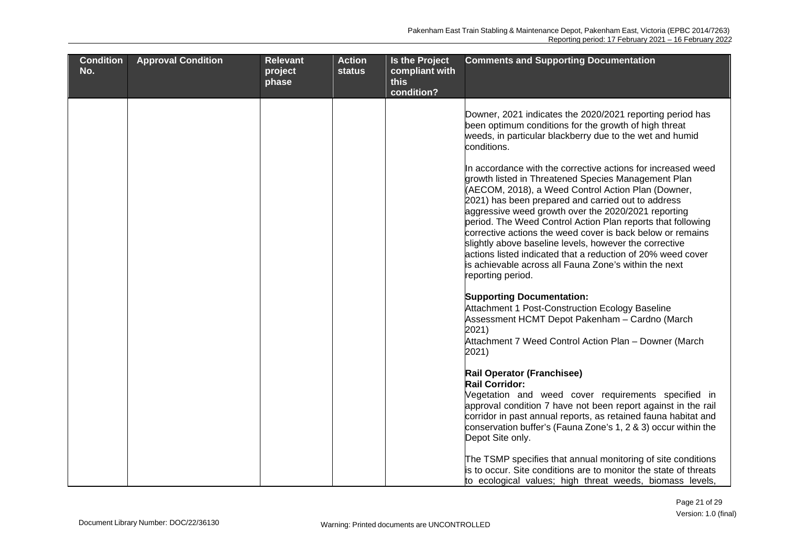| <b>Condition</b><br>No. | <b>Approval Condition</b> | <b>Relevant</b><br>project<br>phase | <b>Action</b><br><b>status</b> | <b>Is the Project</b><br>compliant with<br>this<br>condition? | <b>Comments and Supporting Documentation</b>                                                                                                                                                                                                                                                                                                                                                                                                                                                                                                                                                                               |
|-------------------------|---------------------------|-------------------------------------|--------------------------------|---------------------------------------------------------------|----------------------------------------------------------------------------------------------------------------------------------------------------------------------------------------------------------------------------------------------------------------------------------------------------------------------------------------------------------------------------------------------------------------------------------------------------------------------------------------------------------------------------------------------------------------------------------------------------------------------------|
|                         |                           |                                     |                                |                                                               | Downer, 2021 indicates the 2020/2021 reporting period has<br>been optimum conditions for the growth of high threat<br>weeds, in particular blackberry due to the wet and humid<br>conditions.                                                                                                                                                                                                                                                                                                                                                                                                                              |
|                         |                           |                                     |                                |                                                               | In accordance with the corrective actions for increased weed<br>growth listed in Threatened Species Management Plan<br>(AECOM, 2018), a Weed Control Action Plan (Downer,<br>2021) has been prepared and carried out to address<br>aggressive weed growth over the 2020/2021 reporting<br>period. The Weed Control Action Plan reports that following<br>corrective actions the weed cover is back below or remains<br>slightly above baseline levels, however the corrective<br>actions listed indicated that a reduction of 20% weed cover<br>is achievable across all Fauna Zone's within the next<br>reporting period. |
|                         |                           |                                     |                                |                                                               | <b>Supporting Documentation:</b><br>Attachment 1 Post-Construction Ecology Baseline<br>Assessment HCMT Depot Pakenham - Cardno (March<br>2021)<br>Attachment 7 Weed Control Action Plan - Downer (March<br>2021)                                                                                                                                                                                                                                                                                                                                                                                                           |
|                         |                           |                                     |                                |                                                               | <b>Rail Operator (Franchisee)</b><br><b>Rail Corridor:</b><br>Vegetation and weed cover requirements specified in<br>approval condition 7 have not been report against in the rail<br>corridor in past annual reports, as retained fauna habitat and<br>conservation buffer's (Fauna Zone's 1, 2 & 3) occur within the<br>Depot Site only.                                                                                                                                                                                                                                                                                 |
|                         |                           |                                     |                                |                                                               | The TSMP specifies that annual monitoring of site conditions<br>is to occur. Site conditions are to monitor the state of threats<br>to ecological values; high threat weeds, biomass levels,                                                                                                                                                                                                                                                                                                                                                                                                                               |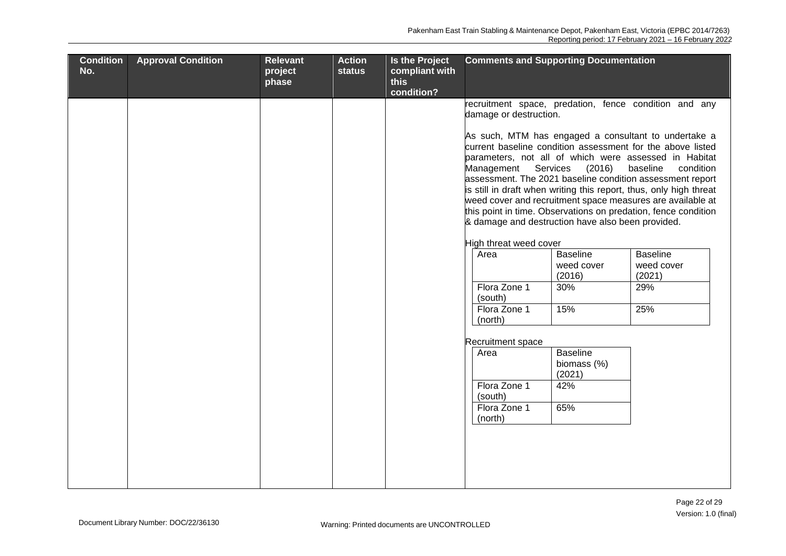| <b>Condition</b><br>No. | <b>Approval Condition</b> | <b>Relevant</b><br>project | <b>Action</b><br><b>status</b> | <b>Is the Project</b><br>compliant with | <b>Comments and Supporting Documentation</b>                                |                                          |                                                                                                                                                                                                                                                                                                                                                                                                                                                                         |
|-------------------------|---------------------------|----------------------------|--------------------------------|-----------------------------------------|-----------------------------------------------------------------------------|------------------------------------------|-------------------------------------------------------------------------------------------------------------------------------------------------------------------------------------------------------------------------------------------------------------------------------------------------------------------------------------------------------------------------------------------------------------------------------------------------------------------------|
|                         |                           | phase                      |                                | this<br>condition?                      |                                                                             |                                          |                                                                                                                                                                                                                                                                                                                                                                                                                                                                         |
|                         |                           |                            |                                |                                         | damage or destruction.                                                      |                                          | recruitment space, predation, fence condition and any                                                                                                                                                                                                                                                                                                                                                                                                                   |
|                         |                           |                            |                                |                                         | Management                                                                  | Services<br>(2016)                       | As such, MTM has engaged a consultant to undertake a<br>current baseline condition assessment for the above listed<br>parameters, not all of which were assessed in Habitat<br>baseline<br>condition<br>assessment. The 2021 baseline condition assessment report<br>is still in draft when writing this report, thus, only high threat<br>weed cover and recruitment space measures are available at<br>this point in time. Observations on predation, fence condition |
|                         |                           |                            |                                |                                         | & damage and destruction have also been provided.<br>High threat weed cover |                                          |                                                                                                                                                                                                                                                                                                                                                                                                                                                                         |
|                         |                           |                            |                                |                                         | Area                                                                        | <b>Baseline</b><br>weed cover<br>(2016)  | <b>Baseline</b><br>weed cover<br>(2021)                                                                                                                                                                                                                                                                                                                                                                                                                                 |
|                         |                           |                            |                                |                                         | Flora Zone 1<br>(south)                                                     | 30%                                      | 29%                                                                                                                                                                                                                                                                                                                                                                                                                                                                     |
|                         |                           |                            |                                |                                         | Flora Zone 1<br>(north)                                                     | 15%                                      | 25%                                                                                                                                                                                                                                                                                                                                                                                                                                                                     |
|                         |                           |                            |                                |                                         | Recruitment space                                                           |                                          |                                                                                                                                                                                                                                                                                                                                                                                                                                                                         |
|                         |                           |                            |                                |                                         | Area                                                                        | <b>Baseline</b><br>biomass (%)<br>(2021) |                                                                                                                                                                                                                                                                                                                                                                                                                                                                         |
|                         |                           |                            |                                |                                         | Flora Zone 1<br>(south)                                                     | 42%                                      |                                                                                                                                                                                                                                                                                                                                                                                                                                                                         |
|                         |                           |                            |                                |                                         | Flora Zone 1<br>(north)                                                     | 65%                                      |                                                                                                                                                                                                                                                                                                                                                                                                                                                                         |
|                         |                           |                            |                                |                                         |                                                                             |                                          |                                                                                                                                                                                                                                                                                                                                                                                                                                                                         |
|                         |                           |                            |                                |                                         |                                                                             |                                          |                                                                                                                                                                                                                                                                                                                                                                                                                                                                         |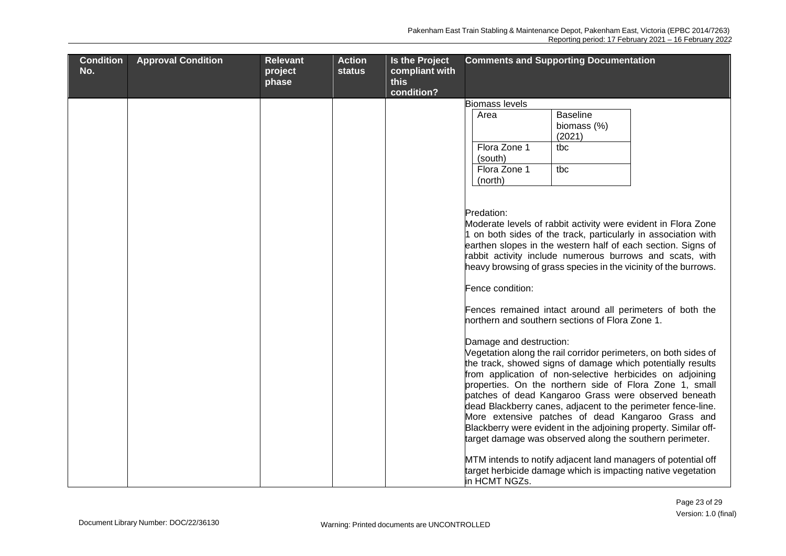| <b>Condition</b> | <b>Approval Condition</b> | <b>Relevant</b>  | <b>Action</b> | <b>Is the Project</b>                | <b>Comments and Supporting Documentation</b>                                                                                                                                                                                                                                                                                                                                                                                                                                                                                                                                                                                                                                                                                                                                                                                                                                                                                                                                                                                                                                                                                                      |
|------------------|---------------------------|------------------|---------------|--------------------------------------|---------------------------------------------------------------------------------------------------------------------------------------------------------------------------------------------------------------------------------------------------------------------------------------------------------------------------------------------------------------------------------------------------------------------------------------------------------------------------------------------------------------------------------------------------------------------------------------------------------------------------------------------------------------------------------------------------------------------------------------------------------------------------------------------------------------------------------------------------------------------------------------------------------------------------------------------------------------------------------------------------------------------------------------------------------------------------------------------------------------------------------------------------|
| No.              |                           | project<br>phase | <b>status</b> | compliant with<br>this<br>condition? |                                                                                                                                                                                                                                                                                                                                                                                                                                                                                                                                                                                                                                                                                                                                                                                                                                                                                                                                                                                                                                                                                                                                                   |
|                  |                           |                  |               |                                      | <b>Biomass levels</b>                                                                                                                                                                                                                                                                                                                                                                                                                                                                                                                                                                                                                                                                                                                                                                                                                                                                                                                                                                                                                                                                                                                             |
|                  |                           |                  |               |                                      | <b>Baseline</b><br>Area                                                                                                                                                                                                                                                                                                                                                                                                                                                                                                                                                                                                                                                                                                                                                                                                                                                                                                                                                                                                                                                                                                                           |
|                  |                           |                  |               |                                      | biomass (%)                                                                                                                                                                                                                                                                                                                                                                                                                                                                                                                                                                                                                                                                                                                                                                                                                                                                                                                                                                                                                                                                                                                                       |
|                  |                           |                  |               |                                      | (2021)                                                                                                                                                                                                                                                                                                                                                                                                                                                                                                                                                                                                                                                                                                                                                                                                                                                                                                                                                                                                                                                                                                                                            |
|                  |                           |                  |               |                                      | Flora Zone 1<br>tbc                                                                                                                                                                                                                                                                                                                                                                                                                                                                                                                                                                                                                                                                                                                                                                                                                                                                                                                                                                                                                                                                                                                               |
|                  |                           |                  |               |                                      | (south)<br>Flora Zone 1<br>tbc                                                                                                                                                                                                                                                                                                                                                                                                                                                                                                                                                                                                                                                                                                                                                                                                                                                                                                                                                                                                                                                                                                                    |
|                  |                           |                  |               |                                      | (north)                                                                                                                                                                                                                                                                                                                                                                                                                                                                                                                                                                                                                                                                                                                                                                                                                                                                                                                                                                                                                                                                                                                                           |
|                  |                           |                  |               |                                      |                                                                                                                                                                                                                                                                                                                                                                                                                                                                                                                                                                                                                                                                                                                                                                                                                                                                                                                                                                                                                                                                                                                                                   |
|                  |                           |                  |               |                                      | Predation:<br>Moderate levels of rabbit activity were evident in Flora Zone<br>1 on both sides of the track, particularly in association with<br>earthen slopes in the western half of each section. Signs of<br>rabbit activity include numerous burrows and scats, with<br>heavy browsing of grass species in the vicinity of the burrows.<br>Fence condition:<br>Fences remained intact around all perimeters of both the<br>northern and southern sections of Flora Zone 1.<br>Damage and destruction:<br>Vegetation along the rail corridor perimeters, on both sides of<br>the track, showed signs of damage which potentially results<br>from application of non-selective herbicides on adjoining<br>properties. On the northern side of Flora Zone 1, small<br>patches of dead Kangaroo Grass were observed beneath<br>dead Blackberry canes, adjacent to the perimeter fence-line.<br>More extensive patches of dead Kangaroo Grass and<br>Blackberry were evident in the adjoining property. Similar off-<br>target damage was observed along the southern perimeter.<br>MTM intends to notify adjacent land managers of potential off |
|                  |                           |                  |               |                                      | target herbicide damage which is impacting native vegetation<br>in HCMT NGZs.                                                                                                                                                                                                                                                                                                                                                                                                                                                                                                                                                                                                                                                                                                                                                                                                                                                                                                                                                                                                                                                                     |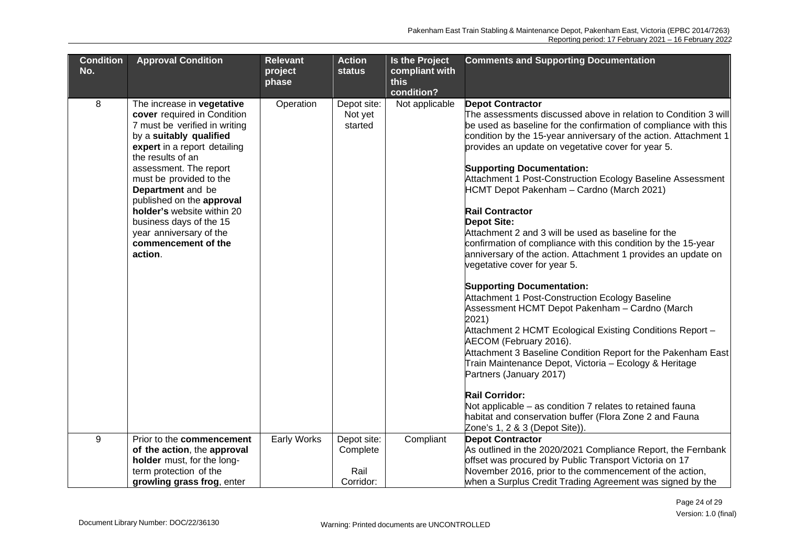| <b>Condition</b> | <b>Approval Condition</b>                      | <b>Relevant</b>    | <b>Action</b> | <b>Is the Project</b> | <b>Comments and Supporting Documentation</b>                     |
|------------------|------------------------------------------------|--------------------|---------------|-----------------------|------------------------------------------------------------------|
| No.              |                                                | project            | <b>status</b> | compliant with        |                                                                  |
|                  |                                                | phase              |               | this                  |                                                                  |
|                  |                                                |                    |               | condition?            |                                                                  |
| 8                | The increase in vegetative                     | Operation          | Depot site:   | Not applicable        | <b>Depot Contractor</b>                                          |
|                  | cover required in Condition                    |                    | Not yet       |                       | The assessments discussed above in relation to Condition 3 will  |
|                  | 7 must be verified in writing                  |                    | started       |                       | be used as baseline for the confirmation of compliance with this |
|                  | by a suitably qualified                        |                    |               |                       | condition by the 15-year anniversary of the action. Attachment 1 |
|                  | expert in a report detailing                   |                    |               |                       | provides an update on vegetative cover for year 5.               |
|                  | the results of an                              |                    |               |                       |                                                                  |
|                  | assessment. The report                         |                    |               |                       | <b>Supporting Documentation:</b>                                 |
|                  | must be provided to the                        |                    |               |                       | Attachment 1 Post-Construction Ecology Baseline Assessment       |
|                  | Department and be<br>published on the approval |                    |               |                       | HCMT Depot Pakenham - Cardno (March 2021)                        |
|                  | holder's website within 20                     |                    |               |                       | <b>Rail Contractor</b>                                           |
|                  | business days of the 15                        |                    |               |                       | <b>Depot Site:</b>                                               |
|                  | year anniversary of the                        |                    |               |                       | Attachment 2 and 3 will be used as baseline for the              |
|                  | commencement of the                            |                    |               |                       | confirmation of compliance with this condition by the 15-year    |
|                  | action.                                        |                    |               |                       | anniversary of the action. Attachment 1 provides an update on    |
|                  |                                                |                    |               |                       | vegetative cover for year 5.                                     |
|                  |                                                |                    |               |                       | <b>Supporting Documentation:</b>                                 |
|                  |                                                |                    |               |                       | Attachment 1 Post-Construction Ecology Baseline                  |
|                  |                                                |                    |               |                       | Assessment HCMT Depot Pakenham - Cardno (March                   |
|                  |                                                |                    |               |                       | 2021)                                                            |
|                  |                                                |                    |               |                       | Attachment 2 HCMT Ecological Existing Conditions Report -        |
|                  |                                                |                    |               |                       | AECOM (February 2016).                                           |
|                  |                                                |                    |               |                       | Attachment 3 Baseline Condition Report for the Pakenham East     |
|                  |                                                |                    |               |                       | Train Maintenance Depot, Victoria - Ecology & Heritage           |
|                  |                                                |                    |               |                       | Partners (January 2017)                                          |
|                  |                                                |                    |               |                       | <b>Rail Corridor:</b>                                            |
|                  |                                                |                    |               |                       | Not applicable - as condition 7 relates to retained fauna        |
|                  |                                                |                    |               |                       | habitat and conservation buffer (Flora Zone 2 and Fauna          |
|                  |                                                |                    |               |                       | Zone's 1, 2 & 3 (Depot Site)).                                   |
| 9                | Prior to the commencement                      | <b>Early Works</b> | Depot site:   | Compliant             | <b>Depot Contractor</b>                                          |
|                  | of the action, the approval                    |                    | Complete      |                       | As outlined in the 2020/2021 Compliance Report, the Fernbank     |
|                  | holder must, for the long-                     |                    |               |                       | offset was procured by Public Transport Victoria on 17           |
|                  | term protection of the                         |                    | Rail          |                       | November 2016, prior to the commencement of the action,          |
|                  | growling grass frog, enter                     |                    | Corridor:     |                       | when a Surplus Credit Trading Agreement was signed by the        |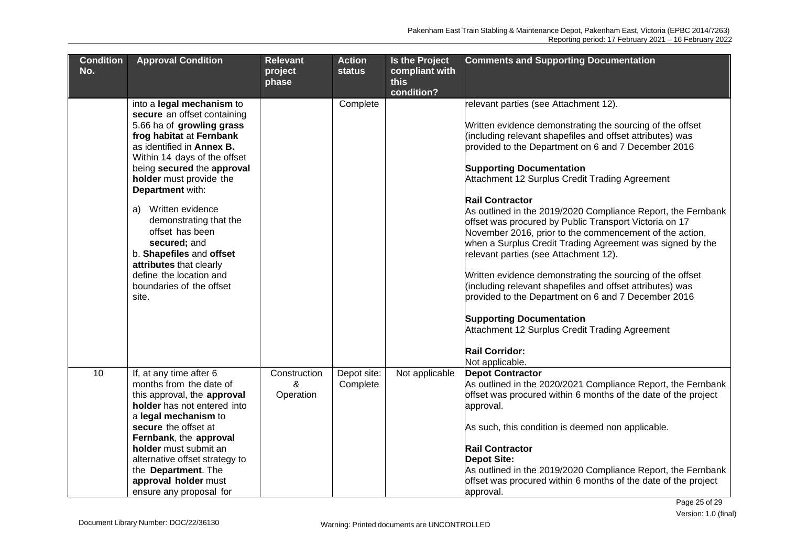| <b>Condition</b><br>No. | <b>Approval Condition</b>                                                                                                                                                                                                                                                                                                                                                                                                                                              | <b>Relevant</b><br>project<br>phase | <b>Action</b><br><b>status</b> | <b>Is the Project</b><br>compliant with<br>this | <b>Comments and Supporting Documentation</b>                                                                                                                                                                                                                                                                                                                                                                                                                                                                                                                                                                                                                                                                                                                                                                                                                                                                                                       |
|-------------------------|------------------------------------------------------------------------------------------------------------------------------------------------------------------------------------------------------------------------------------------------------------------------------------------------------------------------------------------------------------------------------------------------------------------------------------------------------------------------|-------------------------------------|--------------------------------|-------------------------------------------------|----------------------------------------------------------------------------------------------------------------------------------------------------------------------------------------------------------------------------------------------------------------------------------------------------------------------------------------------------------------------------------------------------------------------------------------------------------------------------------------------------------------------------------------------------------------------------------------------------------------------------------------------------------------------------------------------------------------------------------------------------------------------------------------------------------------------------------------------------------------------------------------------------------------------------------------------------|
|                         | into a legal mechanism to<br>secure an offset containing<br>5.66 ha of growling grass<br>frog habitat at Fernbank<br>as identified in Annex B.<br>Within 14 days of the offset<br>being secured the approval<br>holder must provide the<br>Department with:<br>a) Written evidence<br>demonstrating that the<br>offset has been<br>secured; and<br>b. Shapefiles and offset<br>attributes that clearly<br>define the location and<br>boundaries of the offset<br>site. |                                     | Complete                       | condition?                                      | relevant parties (see Attachment 12).<br>Written evidence demonstrating the sourcing of the offset<br>(including relevant shapefiles and offset attributes) was<br>provided to the Department on 6 and 7 December 2016<br><b>Supporting Documentation</b><br>Attachment 12 Surplus Credit Trading Agreement<br><b>Rail Contractor</b><br>As outlined in the 2019/2020 Compliance Report, the Fernbank<br>offset was procured by Public Transport Victoria on 17<br>November 2016, prior to the commencement of the action,<br>when a Surplus Credit Trading Agreement was signed by the<br>relevant parties (see Attachment 12).<br>Written evidence demonstrating the sourcing of the offset<br>(including relevant shapefiles and offset attributes) was<br>provided to the Department on 6 and 7 December 2016<br><b>Supporting Documentation</b><br>Attachment 12 Surplus Credit Trading Agreement<br><b>Rail Corridor:</b><br>Not applicable. |
| 10                      | If, at any time after 6<br>months from the date of<br>this approval, the approval<br>holder has not entered into<br>a legal mechanism to<br>secure the offset at<br>Fernbank, the approval<br>holder must submit an<br>alternative offset strategy to<br>the Department. The<br>approval holder must<br>ensure any proposal for                                                                                                                                        | Construction<br>&<br>Operation      | Depot site:<br>Complete        | Not applicable                                  | <b>Depot Contractor</b><br>As outlined in the 2020/2021 Compliance Report, the Fernbank<br>offset was procured within 6 months of the date of the project<br>approval.<br>As such, this condition is deemed non applicable.<br><b>Rail Contractor</b><br><b>Depot Site:</b><br>As outlined in the 2019/2020 Compliance Report, the Fernbank<br>offset was procured within 6 months of the date of the project<br>approval.                                                                                                                                                                                                                                                                                                                                                                                                                                                                                                                         |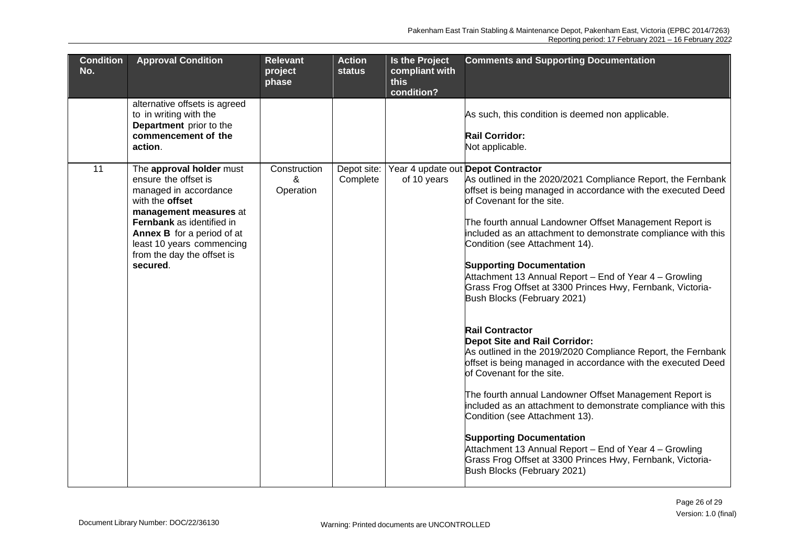| <b>Condition</b><br>No. | <b>Approval Condition</b>                                                                                                                                                                                                                                | <b>Relevant</b><br>project<br>phase | <b>Action</b><br><b>status</b> | Is the Project<br>compliant with<br>this<br>condition? | <b>Comments and Supporting Documentation</b>                                                                                                                                                                                                                                                                                                                                                                                                                                                                                                                                                                                                                                                                                                                                                                                                                                                                                                                                                                                                                                                                                                   |
|-------------------------|----------------------------------------------------------------------------------------------------------------------------------------------------------------------------------------------------------------------------------------------------------|-------------------------------------|--------------------------------|--------------------------------------------------------|------------------------------------------------------------------------------------------------------------------------------------------------------------------------------------------------------------------------------------------------------------------------------------------------------------------------------------------------------------------------------------------------------------------------------------------------------------------------------------------------------------------------------------------------------------------------------------------------------------------------------------------------------------------------------------------------------------------------------------------------------------------------------------------------------------------------------------------------------------------------------------------------------------------------------------------------------------------------------------------------------------------------------------------------------------------------------------------------------------------------------------------------|
|                         | alternative offsets is agreed<br>to in writing with the<br>Department prior to the<br>commencement of the<br>action.                                                                                                                                     |                                     |                                |                                                        | As such, this condition is deemed non applicable.<br><b>Rail Corridor:</b><br>Not applicable.                                                                                                                                                                                                                                                                                                                                                                                                                                                                                                                                                                                                                                                                                                                                                                                                                                                                                                                                                                                                                                                  |
| 11                      | The approval holder must<br>ensure the offset is<br>managed in accordance<br>with the offset<br>management measures at<br>Fernbank as identified in<br>Annex B for a period of at<br>least 10 years commencing<br>from the day the offset is<br>secured. | Construction<br>&<br>Operation      | Depot site:<br>Complete        | of 10 years                                            | Year 4 update out Depot Contractor<br>As outlined in the 2020/2021 Compliance Report, the Fernbank<br>offset is being managed in accordance with the executed Deed<br>of Covenant for the site.<br>The fourth annual Landowner Offset Management Report is<br>included as an attachment to demonstrate compliance with this<br>Condition (see Attachment 14).<br><b>Supporting Documentation</b><br>Attachment 13 Annual Report - End of Year 4 - Growling<br>Grass Frog Offset at 3300 Princes Hwy, Fernbank, Victoria-<br>Bush Blocks (February 2021)<br><b>Rail Contractor</b><br><b>Depot Site and Rail Corridor:</b><br>As outlined in the 2019/2020 Compliance Report, the Fernbank<br>offset is being managed in accordance with the executed Deed<br>of Covenant for the site.<br>The fourth annual Landowner Offset Management Report is<br>included as an attachment to demonstrate compliance with this<br>Condition (see Attachment 13).<br><b>Supporting Documentation</b><br>Attachment 13 Annual Report - End of Year 4 - Growling<br>Grass Frog Offset at 3300 Princes Hwy, Fernbank, Victoria-<br>Bush Blocks (February 2021) |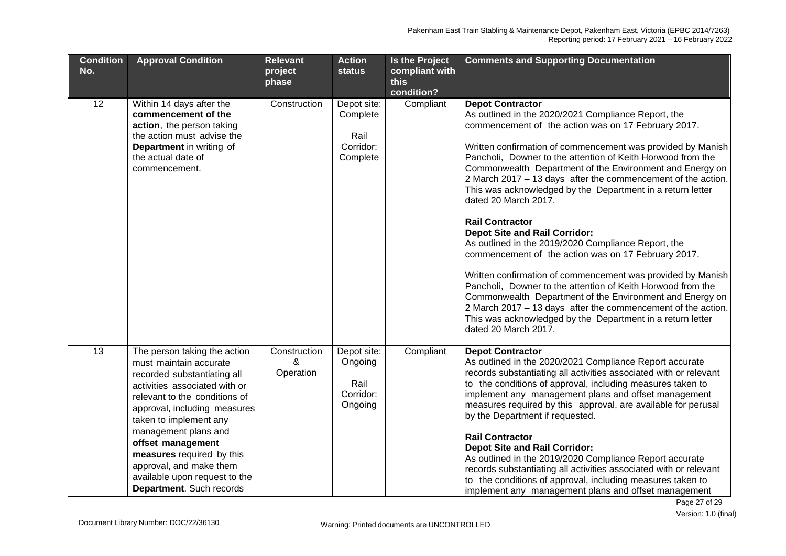| <b>Condition</b><br>No. | <b>Approval Condition</b>                                                                                                                                                                                                                                                                                                                                                           | <b>Relevant</b><br>project<br>phase | <b>Action</b><br><b>status</b>                           | <b>Is the Project</b><br>compliant with<br>this<br>condition? | <b>Comments and Supporting Documentation</b>                                                                                                                                                                                                                                                                                                                                                                                                                                                                                                                                                                                                                                                                                                                                                                                                                                                                                                                                                                          |
|-------------------------|-------------------------------------------------------------------------------------------------------------------------------------------------------------------------------------------------------------------------------------------------------------------------------------------------------------------------------------------------------------------------------------|-------------------------------------|----------------------------------------------------------|---------------------------------------------------------------|-----------------------------------------------------------------------------------------------------------------------------------------------------------------------------------------------------------------------------------------------------------------------------------------------------------------------------------------------------------------------------------------------------------------------------------------------------------------------------------------------------------------------------------------------------------------------------------------------------------------------------------------------------------------------------------------------------------------------------------------------------------------------------------------------------------------------------------------------------------------------------------------------------------------------------------------------------------------------------------------------------------------------|
| 12                      | Within 14 days after the<br>commencement of the<br>action, the person taking<br>the action must advise the<br>Department in writing of<br>the actual date of<br>commencement.                                                                                                                                                                                                       | Construction                        | Depot site:<br>Complete<br>Rail<br>Corridor:<br>Complete | Compliant                                                     | <b>Depot Contractor</b><br>As outlined in the 2020/2021 Compliance Report, the<br>commencement of the action was on 17 February 2017.<br>Written confirmation of commencement was provided by Manish<br>Pancholi, Downer to the attention of Keith Horwood from the<br>Commonwealth Department of the Environment and Energy on<br>2 March 2017 – 13 days after the commencement of the action.<br>This was acknowledged by the Department in a return letter<br>dated 20 March 2017.<br><b>Rail Contractor</b><br><b>Depot Site and Rail Corridor:</b><br>As outlined in the 2019/2020 Compliance Report, the<br>commencement of the action was on 17 February 2017.<br>Written confirmation of commencement was provided by Manish<br>Pancholi, Downer to the attention of Keith Horwood from the<br>Commonwealth Department of the Environment and Energy on<br>2 March 2017 – 13 days after the commencement of the action.<br>This was acknowledged by the Department in a return letter<br>dated 20 March 2017. |
| 13                      | The person taking the action<br>must maintain accurate<br>recorded substantiating all<br>activities associated with or<br>relevant to the conditions of<br>approval, including measures<br>taken to implement any<br>management plans and<br>offset management<br>measures required by this<br>approval, and make them<br>available upon request to the<br>Department. Such records | Construction<br>&<br>Operation      | Depot site:<br>Ongoing<br>Rail<br>Corridor:<br>Ongoing   | Compliant                                                     | <b>Depot Contractor</b><br>As outlined in the 2020/2021 Compliance Report accurate<br>records substantiating all activities associated with or relevant<br>to the conditions of approval, including measures taken to<br>implement any management plans and offset management<br>measures required by this approval, are available for perusal<br>by the Department if requested.<br><b>Rail Contractor</b><br><b>Depot Site and Rail Corridor:</b><br>As outlined in the 2019/2020 Compliance Report accurate<br>records substantiating all activities associated with or relevant<br>to the conditions of approval, including measures taken to<br>implement any management plans and offset management                                                                                                                                                                                                                                                                                                             |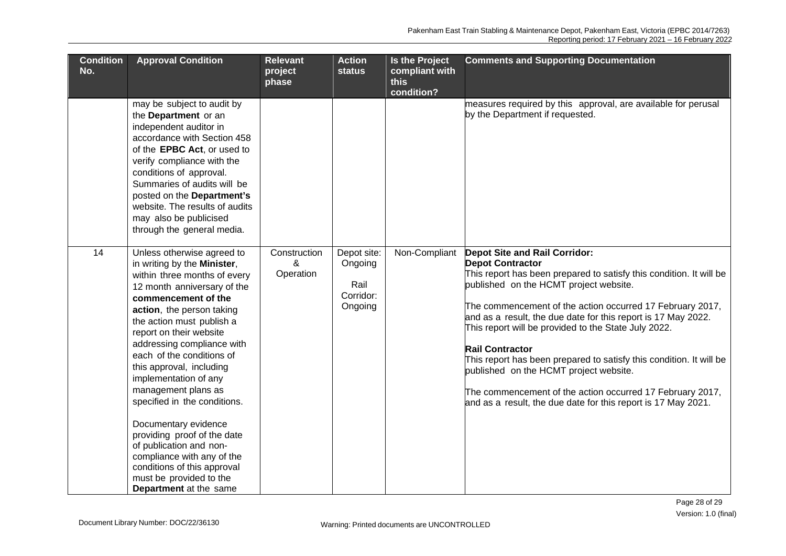| <b>Condition</b><br>No. | <b>Approval Condition</b>                                                                                                                                                                                                                                                                                                                                                                                                                                                                                                                                                                                       | <b>Relevant</b><br>project<br>phase | <b>Action</b><br><b>status</b>                         | <b>Is the Project</b><br>compliant with<br>this<br>condition? | <b>Comments and Supporting Documentation</b>                                                                                                                                                                                                                                                                                                                                                                                                                                                                                                                                                                                                    |
|-------------------------|-----------------------------------------------------------------------------------------------------------------------------------------------------------------------------------------------------------------------------------------------------------------------------------------------------------------------------------------------------------------------------------------------------------------------------------------------------------------------------------------------------------------------------------------------------------------------------------------------------------------|-------------------------------------|--------------------------------------------------------|---------------------------------------------------------------|-------------------------------------------------------------------------------------------------------------------------------------------------------------------------------------------------------------------------------------------------------------------------------------------------------------------------------------------------------------------------------------------------------------------------------------------------------------------------------------------------------------------------------------------------------------------------------------------------------------------------------------------------|
|                         | may be subject to audit by<br>the Department or an<br>independent auditor in<br>accordance with Section 458<br>of the EPBC Act, or used to<br>verify compliance with the<br>conditions of approval.<br>Summaries of audits will be<br>posted on the Department's<br>website. The results of audits<br>may also be publicised<br>through the general media.                                                                                                                                                                                                                                                      |                                     |                                                        |                                                               | measures required by this approval, are available for perusal<br>by the Department if requested.                                                                                                                                                                                                                                                                                                                                                                                                                                                                                                                                                |
| 14                      | Unless otherwise agreed to<br>in writing by the Minister,<br>within three months of every<br>12 month anniversary of the<br>commencement of the<br>action, the person taking<br>the action must publish a<br>report on their website<br>addressing compliance with<br>each of the conditions of<br>this approval, including<br>implementation of any<br>management plans as<br>specified in the conditions.<br>Documentary evidence<br>providing proof of the date<br>of publication and non-<br>compliance with any of the<br>conditions of this approval<br>must be provided to the<br>Department at the same | Construction<br>&<br>Operation      | Depot site:<br>Ongoing<br>Rail<br>Corridor:<br>Ongoing | Non-Compliant                                                 | <b>Depot Site and Rail Corridor:</b><br><b>Depot Contractor</b><br>This report has been prepared to satisfy this condition. It will be<br>published on the HCMT project website.<br>The commencement of the action occurred 17 February 2017,<br>and as a result, the due date for this report is 17 May 2022.<br>This report will be provided to the State July 2022.<br><b>Rail Contractor</b><br>This report has been prepared to satisfy this condition. It will be<br>published on the HCMT project website.<br>The commencement of the action occurred 17 February 2017,<br>and as a result, the due date for this report is 17 May 2021. |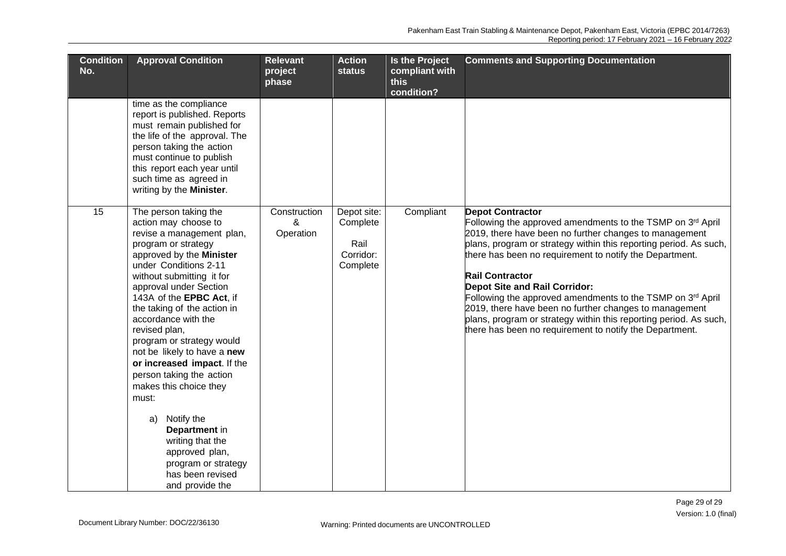| <b>Condition</b><br>No. | <b>Approval Condition</b>                                                                                                                                                                                                                                                                                                                                                                                                                                                                                                                                                                                        | <b>Relevant</b><br>project<br>phase | <b>Action</b><br><b>status</b>                           | <b>Is the Project</b><br>compliant with<br>this | <b>Comments and Supporting Documentation</b>                                                                                                                                                                                                                                                                                                                                                                                                                                                                                                                                                              |
|-------------------------|------------------------------------------------------------------------------------------------------------------------------------------------------------------------------------------------------------------------------------------------------------------------------------------------------------------------------------------------------------------------------------------------------------------------------------------------------------------------------------------------------------------------------------------------------------------------------------------------------------------|-------------------------------------|----------------------------------------------------------|-------------------------------------------------|-----------------------------------------------------------------------------------------------------------------------------------------------------------------------------------------------------------------------------------------------------------------------------------------------------------------------------------------------------------------------------------------------------------------------------------------------------------------------------------------------------------------------------------------------------------------------------------------------------------|
|                         |                                                                                                                                                                                                                                                                                                                                                                                                                                                                                                                                                                                                                  |                                     |                                                          | condition?                                      |                                                                                                                                                                                                                                                                                                                                                                                                                                                                                                                                                                                                           |
|                         | time as the compliance<br>report is published. Reports<br>must remain published for<br>the life of the approval. The<br>person taking the action<br>must continue to publish<br>this report each year until<br>such time as agreed in<br>writing by the Minister.                                                                                                                                                                                                                                                                                                                                                |                                     |                                                          |                                                 |                                                                                                                                                                                                                                                                                                                                                                                                                                                                                                                                                                                                           |
| 15                      | The person taking the<br>action may choose to<br>revise a management plan,<br>program or strategy<br>approved by the Minister<br>under Conditions 2-11<br>without submitting it for<br>approval under Section<br>143A of the EPBC Act, if<br>the taking of the action in<br>accordance with the<br>revised plan,<br>program or strategy would<br>not be likely to have a new<br>or increased impact. If the<br>person taking the action<br>makes this choice they<br>must:<br>a) Notify the<br>Department in<br>writing that the<br>approved plan,<br>program or strategy<br>has been revised<br>and provide the | Construction<br>&<br>Operation      | Depot site:<br>Complete<br>Rail<br>Corridor:<br>Complete | Compliant                                       | <b>Depot Contractor</b><br>Following the approved amendments to the TSMP on 3rd April<br>2019, there have been no further changes to management<br>plans, program or strategy within this reporting period. As such,<br>there has been no requirement to notify the Department.<br><b>Rail Contractor</b><br><b>Depot Site and Rail Corridor:</b><br>Following the approved amendments to the TSMP on 3rd April<br>2019, there have been no further changes to management<br>plans, program or strategy within this reporting period. As such,<br>there has been no requirement to notify the Department. |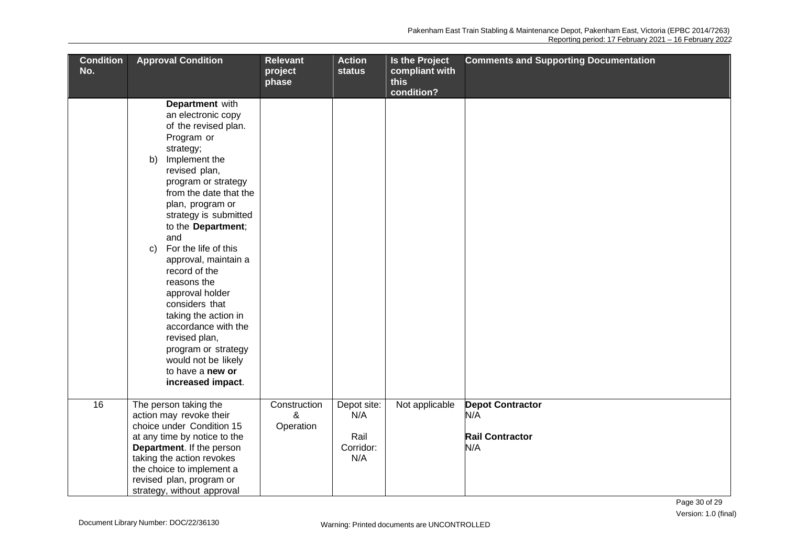| <b>Condition</b><br>No. | <b>Approval Condition</b>            | <b>Relevant</b>  | <b>Action</b> | <b>Is the Project</b>  | <b>Comments and Supporting Documentation</b> |
|-------------------------|--------------------------------------|------------------|---------------|------------------------|----------------------------------------------|
|                         |                                      | project<br>phase | <b>status</b> | compliant with<br>this |                                              |
|                         |                                      |                  |               | condition?             |                                              |
|                         | Department with                      |                  |               |                        |                                              |
|                         | an electronic copy                   |                  |               |                        |                                              |
|                         | of the revised plan.                 |                  |               |                        |                                              |
|                         | Program or                           |                  |               |                        |                                              |
|                         | strategy;                            |                  |               |                        |                                              |
|                         | Implement the<br>b)                  |                  |               |                        |                                              |
|                         | revised plan,                        |                  |               |                        |                                              |
|                         | program or strategy                  |                  |               |                        |                                              |
|                         | from the date that the               |                  |               |                        |                                              |
|                         | plan, program or                     |                  |               |                        |                                              |
|                         | strategy is submitted                |                  |               |                        |                                              |
|                         | to the Department;                   |                  |               |                        |                                              |
|                         | and                                  |                  |               |                        |                                              |
|                         | For the life of this<br>$\mathbf{C}$ |                  |               |                        |                                              |
|                         | approval, maintain a                 |                  |               |                        |                                              |
|                         | record of the                        |                  |               |                        |                                              |
|                         | reasons the                          |                  |               |                        |                                              |
|                         | approval holder                      |                  |               |                        |                                              |
|                         | considers that                       |                  |               |                        |                                              |
|                         | taking the action in                 |                  |               |                        |                                              |
|                         | accordance with the                  |                  |               |                        |                                              |
|                         | revised plan,                        |                  |               |                        |                                              |
|                         | program or strategy                  |                  |               |                        |                                              |
|                         | would not be likely                  |                  |               |                        |                                              |
|                         | to have a new or                     |                  |               |                        |                                              |
|                         | increased impact.                    |                  |               |                        |                                              |
| 16                      | The person taking the                | Construction     | Depot site:   | Not applicable         | <b>Depot Contractor</b>                      |
|                         | action may revoke their              | &                | N/A           |                        | N/A                                          |
|                         | choice under Condition 15            | Operation        |               |                        |                                              |
|                         | at any time by notice to the         |                  | Rail          |                        | <b>Rail Contractor</b>                       |
|                         | Department. If the person            |                  | Corridor:     |                        | N/A                                          |
|                         | taking the action revokes            |                  | N/A           |                        |                                              |
|                         | the choice to implement a            |                  |               |                        |                                              |
|                         | revised plan, program or             |                  |               |                        |                                              |
|                         | strategy, without approval           |                  |               |                        |                                              |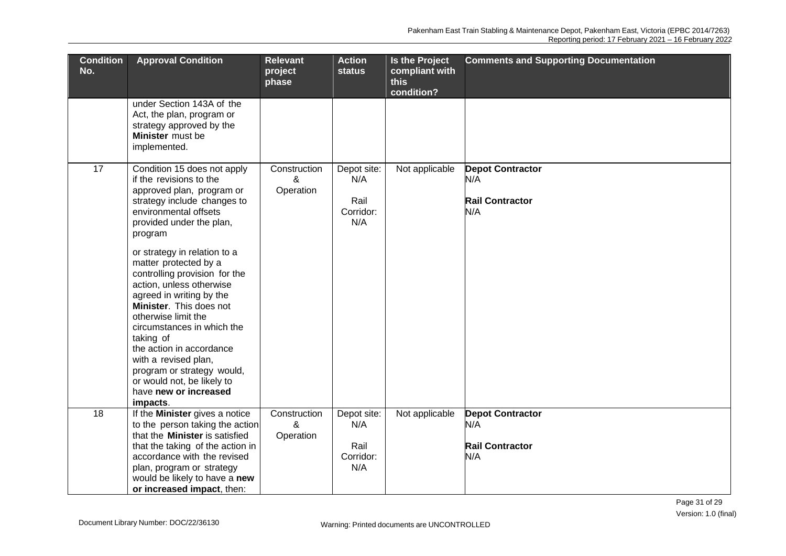| <b>Condition</b><br>No. | <b>Approval Condition</b>                                                                                                                                                                                                                                                                                                                                                                                                                                                                                                                                                  | <b>Relevant</b><br>project     | <b>Action</b><br><b>status</b>                 | <b>Is the Project</b><br>compliant with | <b>Comments and Supporting Documentation</b>                    |
|-------------------------|----------------------------------------------------------------------------------------------------------------------------------------------------------------------------------------------------------------------------------------------------------------------------------------------------------------------------------------------------------------------------------------------------------------------------------------------------------------------------------------------------------------------------------------------------------------------------|--------------------------------|------------------------------------------------|-----------------------------------------|-----------------------------------------------------------------|
|                         |                                                                                                                                                                                                                                                                                                                                                                                                                                                                                                                                                                            | phase                          |                                                | this<br>condition?                      |                                                                 |
|                         | under Section 143A of the<br>Act, the plan, program or<br>strategy approved by the<br>Minister must be<br>implemented.                                                                                                                                                                                                                                                                                                                                                                                                                                                     |                                |                                                |                                         |                                                                 |
| 17                      | Condition 15 does not apply<br>if the revisions to the<br>approved plan, program or<br>strategy include changes to<br>environmental offsets<br>provided under the plan,<br>program<br>or strategy in relation to a<br>matter protected by a<br>controlling provision for the<br>action, unless otherwise<br>agreed in writing by the<br>Minister. This does not<br>otherwise limit the<br>circumstances in which the<br>taking of<br>the action in accordance<br>with a revised plan,<br>program or strategy would,<br>or would not, be likely to<br>have new or increased | Construction<br>&<br>Operation | Depot site:<br>N/A<br>Rail<br>Corridor:<br>N/A | Not applicable                          | <b>Depot Contractor</b><br>N/A<br><b>Rail Contractor</b><br>N/A |
| 18                      | impacts.<br>If the Minister gives a notice<br>to the person taking the action<br>that the <b>Minister</b> is satisfied<br>that the taking of the action in<br>accordance with the revised<br>plan, program or strategy<br>would be likely to have a new<br>or increased impact, then:                                                                                                                                                                                                                                                                                      | Construction<br>&<br>Operation | Depot site:<br>N/A<br>Rail<br>Corridor:<br>N/A | Not applicable                          | <b>Depot Contractor</b><br>N/A<br><b>Rail Contractor</b><br>N/A |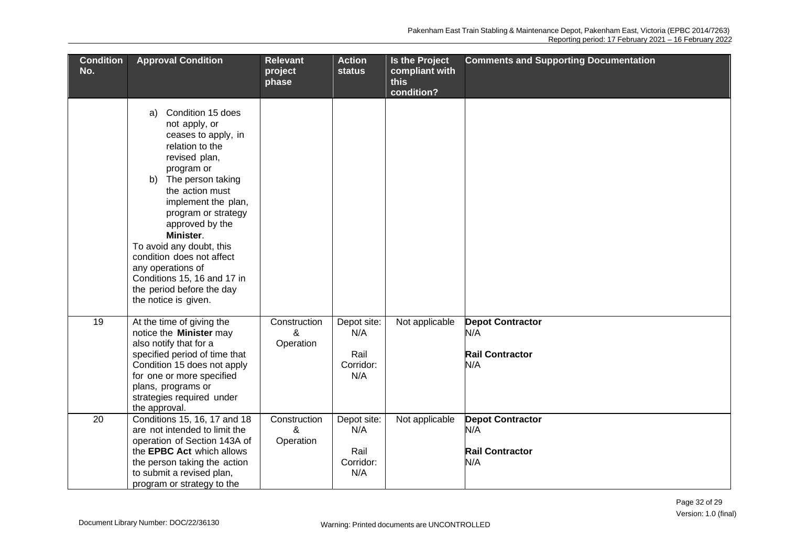| <b>Condition</b><br>No. | <b>Approval Condition</b>                                                                                                                                                                                                                                                                                                                                                                                 | <b>Relevant</b><br>project<br>phase | <b>Action</b><br><b>status</b>                 | <b>Is the Project</b><br>compliant with<br>this | <b>Comments and Supporting Documentation</b>                    |
|-------------------------|-----------------------------------------------------------------------------------------------------------------------------------------------------------------------------------------------------------------------------------------------------------------------------------------------------------------------------------------------------------------------------------------------------------|-------------------------------------|------------------------------------------------|-------------------------------------------------|-----------------------------------------------------------------|
|                         |                                                                                                                                                                                                                                                                                                                                                                                                           |                                     |                                                | condition?                                      |                                                                 |
|                         | a) Condition 15 does<br>not apply, or<br>ceases to apply, in<br>relation to the<br>revised plan,<br>program or<br>b) The person taking<br>the action must<br>implement the plan,<br>program or strategy<br>approved by the<br>Minister.<br>To avoid any doubt, this<br>condition does not affect<br>any operations of<br>Conditions 15, 16 and 17 in<br>the period before the day<br>the notice is given. |                                     |                                                |                                                 |                                                                 |
| 19                      | At the time of giving the<br>notice the Minister may<br>also notify that for a<br>specified period of time that<br>Condition 15 does not apply<br>for one or more specified<br>plans, programs or<br>strategies required under<br>the approval.                                                                                                                                                           | Construction<br>&<br>Operation      | Depot site:<br>N/A<br>Rail<br>Corridor:<br>N/A | Not applicable                                  | <b>Depot Contractor</b><br>N/A<br><b>Rail Contractor</b><br>N/A |
| $\overline{20}$         | Conditions 15, 16, 17 and 18<br>are not intended to limit the<br>operation of Section 143A of<br>the EPBC Act which allows<br>the person taking the action<br>to submit a revised plan,<br>program or strategy to the                                                                                                                                                                                     | Construction<br>&<br>Operation      | Depot site:<br>N/A<br>Rail<br>Corridor:<br>N/A | Not applicable                                  | <b>Depot Contractor</b><br>N/A<br><b>Rail Contractor</b><br>N/A |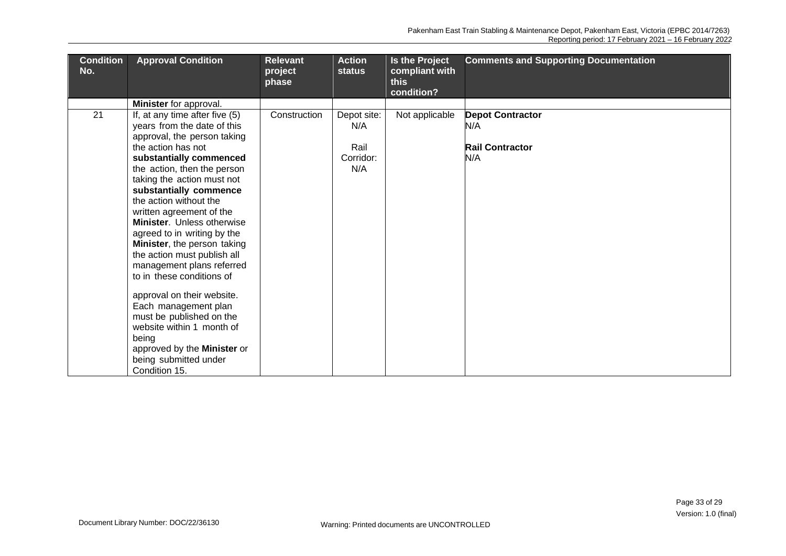| <b>Condition</b><br>No. | <b>Approval Condition</b>                                                                                                                                                                                                                                                                                                                                                                                                                                                                                                                                                                                                              | <b>Relevant</b><br>project<br>phase | <b>Action</b><br><b>status</b>                 | Is the Project<br>compliant with<br>this<br>condition? | <b>Comments and Supporting Documentation</b>                    |
|-------------------------|----------------------------------------------------------------------------------------------------------------------------------------------------------------------------------------------------------------------------------------------------------------------------------------------------------------------------------------------------------------------------------------------------------------------------------------------------------------------------------------------------------------------------------------------------------------------------------------------------------------------------------------|-------------------------------------|------------------------------------------------|--------------------------------------------------------|-----------------------------------------------------------------|
|                         | Minister for approval.                                                                                                                                                                                                                                                                                                                                                                                                                                                                                                                                                                                                                 |                                     |                                                |                                                        |                                                                 |
| 21                      | If, at any time after five (5)<br>years from the date of this<br>approval, the person taking<br>the action has not<br>substantially commenced<br>the action, then the person<br>taking the action must not<br>substantially commence<br>the action without the<br>written agreement of the<br>Minister. Unless otherwise<br>agreed to in writing by the<br>Minister, the person taking<br>the action must publish all<br>management plans referred<br>to in these conditions of<br>approval on their website.<br>Each management plan<br>must be published on the<br>website within 1 month of<br>being<br>approved by the Minister or | Construction                        | Depot site:<br>N/A<br>Rail<br>Corridor:<br>N/A | Not applicable                                         | <b>Depot Contractor</b><br>N/A<br><b>Rail Contractor</b><br>N/A |
|                         | being submitted under<br>Condition 15.                                                                                                                                                                                                                                                                                                                                                                                                                                                                                                                                                                                                 |                                     |                                                |                                                        |                                                                 |